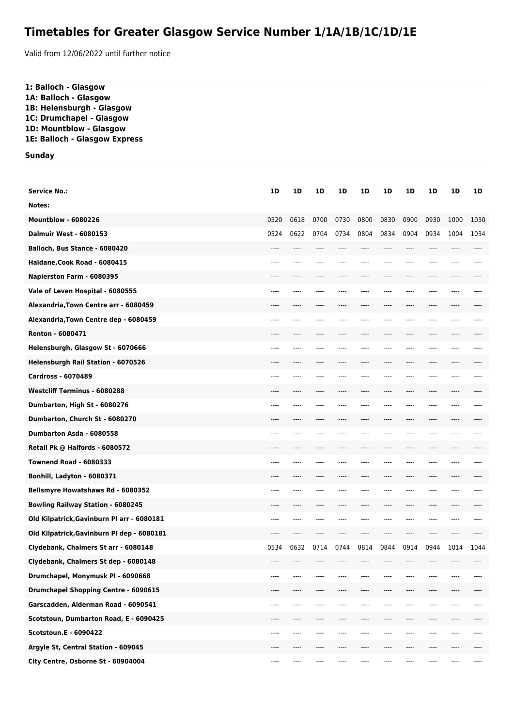## **Timetables for Greater Glasgow Service Number 1/1A/1B/1C/1D/1E**

Valid from 12/06/2022 until further notice

| 1: Balloch - Glasgow<br>1A: Balloch - Glasgow<br>1B: Helensburgh - Glasgow<br>1C: Drumchapel - Glasgow<br>1D: Mountblow - Glasgow<br>1E: Balloch - Glasgow Express |      |      |      |      |      |      |      |      |      |      |
|--------------------------------------------------------------------------------------------------------------------------------------------------------------------|------|------|------|------|------|------|------|------|------|------|
| <b>Sunday</b>                                                                                                                                                      |      |      |      |      |      |      |      |      |      |      |
|                                                                                                                                                                    |      |      |      |      |      |      |      |      |      |      |
| <b>Service No.:</b>                                                                                                                                                | 1D   | 1D   | 1D   | 1D   | 1D   | 1D   | 1D   | 1D   | 1D   | 1D   |
| Notes:                                                                                                                                                             |      |      |      |      |      |      |      |      |      |      |
| <b>Mountblow - 6080226</b>                                                                                                                                         | 0520 | 0618 | 0700 | 0730 | 0800 | 0830 | 0900 | 0930 | 1000 | 1030 |
| <b>Dalmuir West - 6080153</b>                                                                                                                                      | 0524 | 0622 | 0704 | 0734 | 0804 | 0834 | 0904 | 0934 | 1004 | 1034 |
| Balloch, Bus Stance - 6080420                                                                                                                                      |      |      |      |      |      |      |      |      |      |      |
| Haldane, Cook Road - 6080415                                                                                                                                       | ---- |      |      |      |      |      |      |      |      |      |
| Napierston Farm - 6080395                                                                                                                                          | ---- |      |      |      |      | ---- |      |      |      |      |
| Vale of Leven Hospital - 6080555                                                                                                                                   | ---- |      |      |      |      |      |      |      |      |      |
| Alexandria, Town Centre arr - 6080459                                                                                                                              |      |      |      |      |      |      |      |      |      |      |
| Alexandria, Town Centre dep - 6080459                                                                                                                              | ---- |      |      |      |      |      |      |      |      |      |
| <b>Renton - 6080471</b>                                                                                                                                            |      |      |      |      |      |      |      |      |      |      |
| Helensburgh, Glasgow St - 6070666                                                                                                                                  | ---- |      |      |      |      |      |      |      |      |      |
| Helensburgh Rail Station - 6070526                                                                                                                                 |      |      |      |      |      |      |      |      |      |      |
| <b>Cardross - 6070489</b>                                                                                                                                          | ---- |      |      |      |      |      |      |      |      |      |
| <b>Westcliff Terminus - 6080288</b>                                                                                                                                | ---- |      |      |      |      |      |      |      |      |      |
| Dumbarton, High St - 6080276                                                                                                                                       | ---- |      |      |      |      |      |      |      |      |      |
| Dumbarton, Church St - 6080270                                                                                                                                     |      |      |      |      |      |      |      |      |      |      |
| Dumbarton Asda - 6080558                                                                                                                                           | ---- | ---- |      |      | ---- | ---- | ---- | ---- |      |      |
| Retail Pk @ Halfords - 6080572                                                                                                                                     | ---- |      |      |      |      | ---- | ---- |      |      |      |
| <b>Townend Road - 6080333</b>                                                                                                                                      |      |      |      |      |      |      |      |      |      |      |
| Bonhill, Ladyton - 6080371                                                                                                                                         |      |      |      |      |      |      |      |      |      |      |
| Bellsmyre Howatshaws Rd - 6080352                                                                                                                                  | ---- | ---- | ---- |      |      | ---- | ---- | ---- | ---- |      |
| <b>Bowling Railway Station - 6080245</b>                                                                                                                           | ---- | ---- | ---- | ---- | ---- | ---- | ---- | ---- | ---- |      |
| Old Kilpatrick, Gavinburn Pl arr - 6080181                                                                                                                         | ---- | ---- |      |      |      | ---- | ---- |      |      |      |
| Old Kilpatrick, Gavinburn Pl dep - 6080181                                                                                                                         | ---- | ---- |      |      |      | ---- | ---- |      |      |      |
| Clydebank, Chalmers St arr - 6080148                                                                                                                               | 0534 | 0632 | 0714 | 0744 | 0814 | 0844 | 0914 | 0944 | 1014 | 1044 |
| Clydebank, Chalmers St dep - 6080148                                                                                                                               | ---- | ---- | ---- | ---- | ---- | ---- | ---- | ---- | ---- |      |
| Drumchapel, Monymusk PI - 6090668                                                                                                                                  | ---- |      |      |      |      | ---  |      |      |      |      |
| <b>Drumchapel Shopping Centre - 6090615</b>                                                                                                                        | ---- |      |      |      |      | ---- |      |      |      |      |
| Garscadden, Alderman Road - 6090541                                                                                                                                | ---- | ---- |      |      |      | ---- | ---- | ---- |      |      |
| Scotstoun, Dumbarton Road, E - 6090425                                                                                                                             | ---- | ---- | ---- | ---- | ---- | ---- | ---- | ---- | ---- |      |
| <b>Scotstoun.E - 6090422</b>                                                                                                                                       | ---- |      |      |      |      | ---  |      |      |      |      |
| Argyle St, Central Station - 609045                                                                                                                                | ---- |      |      |      |      | ---- | ---- |      |      |      |
| City Centre, Osborne St - 60904004                                                                                                                                 | ---- |      |      |      |      | ---- |      |      |      |      |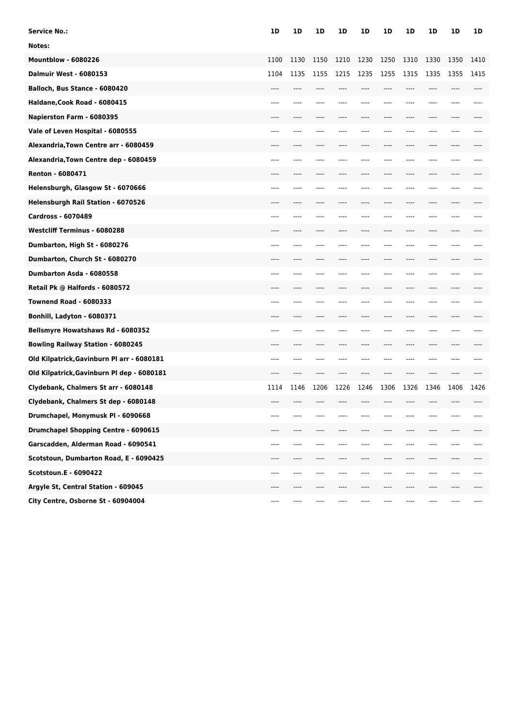| <b>Service No.:</b>                        | 1D   | 1D   | 1D    | 1D   | 1D    | 1D    | 1D   | 1D   | 1D   | 1D   |
|--------------------------------------------|------|------|-------|------|-------|-------|------|------|------|------|
| Notes:                                     |      |      |       |      |       |       |      |      |      |      |
| <b>Mountblow - 6080226</b>                 | 1100 | 1130 | 1150  | 1210 | 1230  | 1250  | 1310 | 1330 | 1350 | 1410 |
| <b>Dalmuir West - 6080153</b>              | 1104 | 1135 | 1155  | 1215 | 1235  | 1255  | 1315 | 1335 | 1355 | 1415 |
| Balloch, Bus Stance - 6080420              | ---- |      |       |      |       | ----  | ---- | ---- | ---- |      |
| Haldane, Cook Road - 6080415               |      |      |       |      |       |       |      |      |      |      |
| Napierston Farm - 6080395                  |      |      |       |      |       |       |      |      |      |      |
| Vale of Leven Hospital - 6080555           | ---- |      |       |      |       |       |      | ---- | ---- |      |
| Alexandria, Town Centre arr - 6080459      | ---- | ---- | ----  | ---- | ----  | ----  | ---- | ---- | ---- |      |
| Alexandria, Town Centre dep - 6080459      |      |      |       |      |       |       |      |      |      |      |
| Renton - 6080471                           |      |      |       |      |       |       |      |      |      |      |
| Helensburgh, Glasgow St - 6070666          | ---- | ---- | ----  | ---- |       | $---$ |      | ---- | ---- |      |
| Helensburgh Rail Station - 6070526         | ---- | ---- | ----  | ---- | $---$ | ----  | ---- | ---- | ---- |      |
| <b>Cardross - 6070489</b>                  | ---- |      |       |      |       |       |      |      | ---- |      |
| <b>Westcliff Terminus - 6080288</b>        |      |      |       |      |       |       |      |      |      |      |
| Dumbarton, High St - 6080276               | ---- |      |       |      |       |       | ---- | ---- | ---- |      |
| Dumbarton, Church St - 6080270             | ---- | ---- | ----  | ---- | ----  | ----  | ---- | ---- | ---- |      |
| Dumbarton Asda - 6080558                   |      |      |       |      |       |       |      |      |      |      |
| Retail Pk @ Halfords - 6080572             |      |      |       |      |       |       |      |      |      |      |
| <b>Townend Road - 6080333</b>              | ---- | ---- | ----  | ---- | ----  | ----  | ---- | ---- | ---- |      |
| Bonhill, Ladyton - 6080371                 | ---- | ---- | ----  | ---- | ----  | ----  | ---- | ---- | ---- |      |
| Bellsmyre Howatshaws Rd - 6080352          | ---- |      |       |      |       |       |      |      |      |      |
| <b>Bowling Railway Station - 6080245</b>   |      |      |       |      |       |       |      |      |      |      |
| Old Kilpatrick, Gavinburn Pl arr - 6080181 | ---- |      |       |      |       | ----  | ---- | ---- | ---- |      |
| Old Kilpatrick, Gavinburn Pl dep - 6080181 | ---- | ---- | ----  |      |       | ----  | ---- | ---- | ---- |      |
| Clydebank, Chalmers St arr - 6080148       | 1114 | 1146 | 1206  | 1226 | 1246  | 1306  | 1326 | 1346 | 1406 | 1426 |
| Clydebank, Chalmers St dep - 6080148       |      |      |       |      |       |       |      |      |      |      |
| Drumchapel, Monymusk PI - 6090668          |      |      |       |      |       |       |      |      |      |      |
| Drumchapel Shopping Centre - 6090615       | ---- | ---- | ----  | ---- |       | ----  | ---- | ---- | ---- |      |
| Garscadden, Alderman Road - 6090541        | ---- | ---- |       | ---- |       |       | ---- | ---- | ---- | ---- |
| Scotstoun, Dumbarton Road, E - 6090425     | ---- |      |       |      |       |       | ---- |      | ---- |      |
| Scotstoun.E - 6090422                      | ---- | ---- | ----  | ---- |       | ----  | ---- | ---- | ---- | ---- |
| Argyle St, Central Station - 609045        | ---- | ---- | ----  | ---- | ----  | ----  | ---- | ---- | ---- | ---- |
| City Centre, Osborne St - 60904004         | ---- | ---- | $---$ | ---- | ----  | ----  | ---- | ---- | ---- | ---- |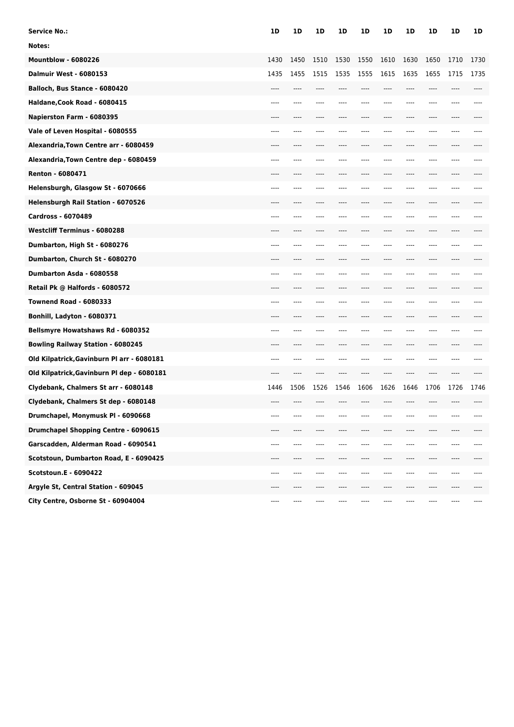| <b>Service No.:</b>                        | 1D   | 1D   | 1D    | 1D   | 1D    | 1D    | 1D   | 1D   | 1D   | 1D   |
|--------------------------------------------|------|------|-------|------|-------|-------|------|------|------|------|
| Notes:                                     |      |      |       |      |       |       |      |      |      |      |
| <b>Mountblow - 6080226</b>                 | 1430 | 1450 | 1510  | 1530 | 1550  | 1610  | 1630 | 1650 | 1710 | 1730 |
| <b>Dalmuir West - 6080153</b>              | 1435 | 1455 | 1515  | 1535 | 1555  | 1615  | 1635 | 1655 | 1715 | 1735 |
| Balloch, Bus Stance - 6080420              | ---- |      |       |      |       | ----  | ---- | ---- |      |      |
| Haldane, Cook Road - 6080415               |      |      |       |      |       |       |      |      |      |      |
| Napierston Farm - 6080395                  |      |      |       |      |       |       |      |      |      |      |
| Vale of Leven Hospital - 6080555           | ---- |      |       |      |       |       |      | ---- | ---- |      |
| Alexandria, Town Centre arr - 6080459      | ---- | ---- | ----  | ---- | ----  | ----  | ---- | ---- | ---- |      |
| Alexandria, Town Centre dep - 6080459      |      |      |       |      |       |       |      |      |      |      |
| Renton - 6080471                           |      |      |       |      |       |       |      |      |      |      |
| Helensburgh, Glasgow St - 6070666          | ---- | ---- | ----  |      |       | $---$ |      | ---- | ---- |      |
| Helensburgh Rail Station - 6070526         | ---- | ---- | ----  | ---- | $---$ | ----  | ---- | ---- | ---- |      |
| <b>Cardross - 6070489</b>                  | ---- |      |       |      |       |       |      |      | ---- |      |
| <b>Westcliff Terminus - 6080288</b>        |      |      |       |      |       |       |      |      |      |      |
| Dumbarton, High St - 6080276               | ---- |      |       |      |       |       | ---- | ---- | ---- |      |
| Dumbarton, Church St - 6080270             | ---- | ---- | ----  | ---- | ----  | ----  | ---- | ---- | ---- |      |
| Dumbarton Asda - 6080558                   |      |      |       |      |       |       |      |      |      |      |
| Retail Pk @ Halfords - 6080572             |      |      |       |      |       |       |      |      |      |      |
| <b>Townend Road - 6080333</b>              | ---- | ---- | ----  | ---- | ----  | ----  | ---- | ---- | ---- |      |
| Bonhill, Ladyton - 6080371                 | ---- | ---- | ----  | ---- | ----  | ----  | ---- | ---- | ---- |      |
| Bellsmyre Howatshaws Rd - 6080352          | ---- |      |       |      |       |       |      |      |      |      |
| <b>Bowling Railway Station - 6080245</b>   |      |      |       |      |       |       |      |      |      |      |
| Old Kilpatrick, Gavinburn Pl arr - 6080181 | ---- |      |       |      |       | ----  | ---- | ---- |      |      |
| Old Kilpatrick, Gavinburn Pl dep - 6080181 | ---- | ---- | ----  |      |       | ----  | ---- | ---- | ---- |      |
| Clydebank, Chalmers St arr - 6080148       | 1446 | 1506 | 1526  | 1546 | 1606  | 1626  | 1646 | 1706 | 1726 | 1746 |
| Clydebank, Chalmers St dep - 6080148       |      |      |       |      |       |       |      |      |      |      |
| Drumchapel, Monymusk PI - 6090668          |      |      |       |      |       |       |      |      |      |      |
| Drumchapel Shopping Centre - 6090615       | ---- | ---- | ----  | ---- |       | ----  | ---- | ---- | ---- |      |
| Garscadden, Alderman Road - 6090541        | ---- | ---- |       | ---- |       |       | ---- | ---- | ---- | ---- |
| Scotstoun, Dumbarton Road, E - 6090425     | ---- |      |       |      |       |       | ---- |      | ---- |      |
| Scotstoun.E - 6090422                      | ---- | ---- | ----  | ---- |       | ----  | ---- | ---- | ---- | ---- |
| Argyle St, Central Station - 609045        | ---- | ---- | ----  | ---- | ----  | ----  | ---- | ---- | ---- | ---- |
| City Centre, Osborne St - 60904004         | ---- | ---- | $---$ | ---- | ----  | ----  | ---- | ---- | ---- | ---- |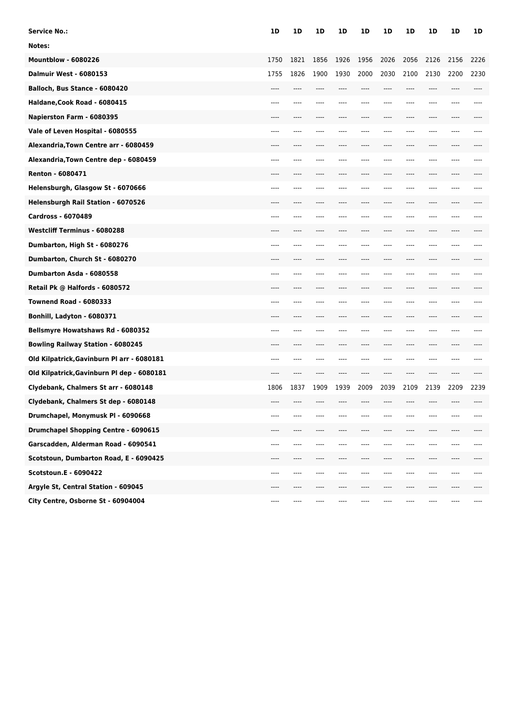| <b>Service No.:</b>                        | 1D   | 1D   | 1D    | 1D   | 1D     | 1D    | 1D   | 1D    | 1D   | 1D   |
|--------------------------------------------|------|------|-------|------|--------|-------|------|-------|------|------|
| Notes:                                     |      |      |       |      |        |       |      |       |      |      |
| <b>Mountblow - 6080226</b>                 | 1750 | 1821 | 1856  | 1926 | 1956   | 2026  | 2056 | 2126  | 2156 | 2226 |
| <b>Dalmuir West - 6080153</b>              | 1755 | 1826 | 1900  | 1930 | 2000   | 2030  | 2100 | 2130  | 2200 | 2230 |
| Balloch, Bus Stance - 6080420              | ---- |      |       | ---- |        | ----  | ---- | ----  |      |      |
| Haldane, Cook Road - 6080415               | ---- |      |       |      |        |       |      |       |      |      |
| Napierston Farm - 6080395                  |      |      |       |      |        |       |      |       |      |      |
| Vale of Leven Hospital - 6080555           | ---- |      |       |      |        | ---   |      |       |      |      |
| Alexandria, Town Centre arr - 6080459      | ---- |      |       | ---- |        | ----  | ---- | ----  |      |      |
| Alexandria, Town Centre dep - 6080459      | ---- |      |       |      |        |       |      |       |      |      |
| Renton - 6080471                           |      |      |       |      |        |       |      |       |      |      |
| Helensburgh, Glasgow St - 6070666          | ---- | ---- |       |      |        | ---   |      |       |      |      |
| Helensburgh Rail Station - 6070526         | ---- | ---- |       | ---- |        | ----  | ---- | ----  |      |      |
| <b>Cardross - 6070489</b>                  | ---- |      |       |      |        |       |      |       |      |      |
| <b>Westcliff Terminus - 6080288</b>        |      |      |       |      |        |       |      |       |      |      |
| Dumbarton, High St - 6080276               | ---- |      |       |      |        | $---$ |      |       |      |      |
| Dumbarton, Church St - 6080270             | ---- |      |       |      |        |       | ---- | ----  |      |      |
| Dumbarton Asda - 6080558                   | ---- |      |       |      |        |       |      |       |      |      |
| Retail Pk @ Halfords - 6080572             |      |      |       |      |        |       |      |       |      |      |
| <b>Townend Road - 6080333</b>              | ---- |      |       |      |        | ---   |      |       |      |      |
| Bonhill, Ladyton - 6080371                 | ---- | ---- | ----  | ---- | ----   | $---$ | ---- | ----  | ---- |      |
| Bellsmyre Howatshaws Rd - 6080352          | ---- |      |       |      |        |       |      |       |      |      |
| <b>Bowling Railway Station - 6080245</b>   |      |      |       |      |        |       |      |       |      |      |
| Old Kilpatrick, Gavinburn Pl arr - 6080181 | ---- | ---- |       |      |        | $---$ | ---- | ----  |      |      |
| Old Kilpatrick, Gavinburn Pl dep - 6080181 | ---- | ---- | $---$ | ---- | $---$  | $---$ | ---- | $---$ | ---- |      |
| Clydebank, Chalmers St arr - 6080148       | 1806 | 1837 | 1909  | 1939 | 2009   | 2039  | 2109 | 2139  | 2209 | 2239 |
| Clydebank, Chalmers St dep - 6080148       |      |      |       |      |        |       |      |       |      |      |
| Drumchapel, Monymusk PI - 6090668          |      |      |       |      |        |       |      |       |      |      |
| Drumchapel Shopping Centre - 6090615       | ---- | ---- |       |      |        |       | ---- | ----  | ---- |      |
| Garscadden, Alderman Road - 6090541        | ---- | ---- |       |      |        |       |      | ----  |      |      |
| Scotstoun, Dumbarton Road, E - 6090425     | ---- |      |       |      |        |       |      |       |      |      |
| Scotstoun.E - 6090422                      | ---- | ---- |       |      |        |       | ---- | ----  | ---- |      |
| Argyle St, Central Station - 609045        | ---- | ---- |       | ---- |        | ----  | ---- | ----  | ---- |      |
| City Centre, Osborne St - 60904004         | ---- | ---- | ----  | ---- | $-- -$ | ----  | ---- | ----  |      | ---- |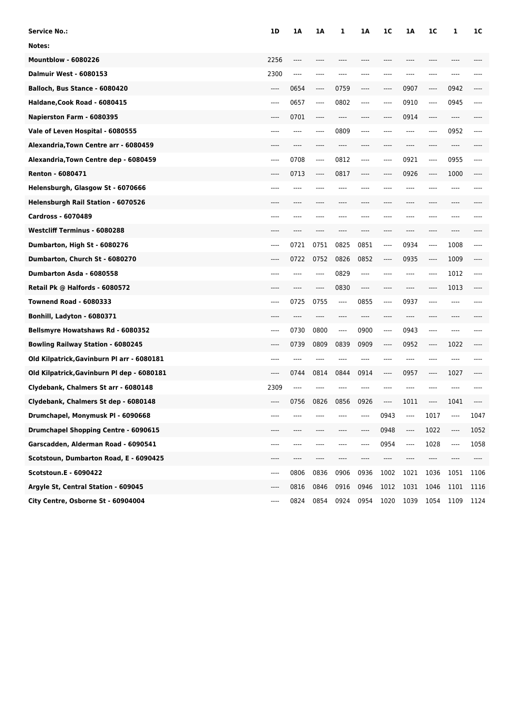| Service No.:                                | 1D   | 1Α   | 1A      | 1    | 1Α   | 1 <sup>C</sup> | 1Α   | 1C   | 1    | 1C   |
|---------------------------------------------|------|------|---------|------|------|----------------|------|------|------|------|
| Notes:                                      |      |      |         |      |      |                |      |      |      |      |
| <b>Mountblow - 6080226</b>                  | 2256 |      |         |      |      |                |      |      |      |      |
| <b>Dalmuir West - 6080153</b>               | 2300 | ---- |         |      |      |                |      | ---- |      |      |
| Balloch, Bus Stance - 6080420               | ---- | 0654 | $-----$ | 0759 | ---- | ----           | 0907 | ---- | 0942 |      |
| Haldane, Cook Road - 6080415                | ---- | 0657 | ----    | 0802 | ---- | ----           | 0910 | ---- | 0945 | ---- |
| Napierston Farm - 6080395                   |      | 0701 |         |      |      |                | 0914 |      | ---- |      |
| Vale of Leven Hospital - 6080555            | ---- | ---- | ----    | 0809 | ---- |                | ---- | ---- | 0952 | ---- |
| Alexandria, Town Centre arr - 6080459       |      | ---- | ----    | ---- |      |                | ---- | ---- | ---- |      |
| Alexandria, Town Centre dep - 6080459       | ---- | 0708 | $---$   | 0812 | ---- | ----           | 0921 | ---- | 0955 | ---- |
| Renton - 6080471                            |      | 0713 | $-----$ | 0817 |      | ----           | 0926 | ---- | 1000 |      |
| Helensburgh, Glasgow St - 6070666           | ---- |      |         | ---- |      |                | ---- |      | ---- |      |
| Helensburgh Rail Station - 6070526          | ---- |      |         | ---- |      |                | ---- | ---- | ---- |      |
| <b>Cardross - 6070489</b>                   |      |      |         |      |      |                |      |      |      |      |
| <b>Westcliff Terminus - 6080288</b>         |      |      |         |      |      |                |      |      |      |      |
| Dumbarton, High St - 6080276                | ---- | 0721 | 0751    | 0825 | 0851 | ----           | 0934 | ---- | 1008 | ---- |
| Dumbarton, Church St - 6080270              | ---- | 0722 | 0752    | 0826 | 0852 | ----           | 0935 | ---- | 1009 |      |
| Dumbarton Asda - 6080558                    | ---- |      |         | 0829 | ---- |                | ---- | ---- | 1012 | ---- |
| Retail Pk @ Halfords - 6080572              |      |      | ----    | 0830 |      |                |      |      | 1013 |      |
| <b>Townend Road - 6080333</b>               | ---- | 0725 | 0755    | ---- | 0855 | ----           | 0937 | ---- | ---- |      |
| Bonhill, Ladyton - 6080371                  | ---- | ---- | ----    | ---- | ---- | ----           | ---- | ---- | ---- |      |
| Bellsmyre Howatshaws Rd - 6080352           | ---- | 0730 | 0800    | ---- | 0900 | ----           | 0943 | ---- | ---- |      |
| <b>Bowling Railway Station - 6080245</b>    |      | 0739 | 0809    | 0839 | 0909 | ----           | 0952 | ---- | 1022 |      |
| Old Kilpatrick, Gavinburn Pl arr - 6080181  | ---- | ---- |         |      |      | ----           | ---- | ---- | ---- |      |
| Old Kilpatrick, Gavinburn Pl dep - 6080181  | ---- | 0744 | 0814    | 0844 | 0914 | ----           | 0957 | ---- | 1027 |      |
| Clydebank, Chalmers St arr - 6080148        | 2309 | ---- |         |      |      |                | ---- |      |      |      |
| Clydebank, Chalmers St dep - 6080148        | ---- | 0756 | 0826    | 0856 | 0926 | ----           | 1011 |      | 1041 |      |
| Drumchapel, Monymusk PI - 6090668           |      |      |         |      |      | 0943           | ---- | 1017 |      | 1047 |
| <b>Drumchapel Shopping Centre - 6090615</b> | ---- | ---- | ----    | ---- | ---- | 0948           | ---- | 1022 | ---- | 1052 |
| Garscadden, Alderman Road - 6090541         | ---- | ---- | ----    | ---- | ---- | 0954           | ---- | 1028 | ---- | 1058 |
| Scotstoun, Dumbarton Road, E - 6090425      | ---- | ---- | ----    |      | ---  | ----           | ---- | ---- |      |      |
| <b>Scotstoun.E - 6090422</b>                | ---- | 0806 | 0836    | 0906 | 0936 | 1002           | 1021 | 1036 | 1051 | 1106 |
| Argyle St, Central Station - 609045         | ---- | 0816 | 0846    | 0916 | 0946 | 1012           | 1031 | 1046 | 1101 | 1116 |
| City Centre, Osborne St - 60904004          | ---- | 0824 | 0854    | 0924 | 0954 | 1020           | 1039 | 1054 | 1109 | 1124 |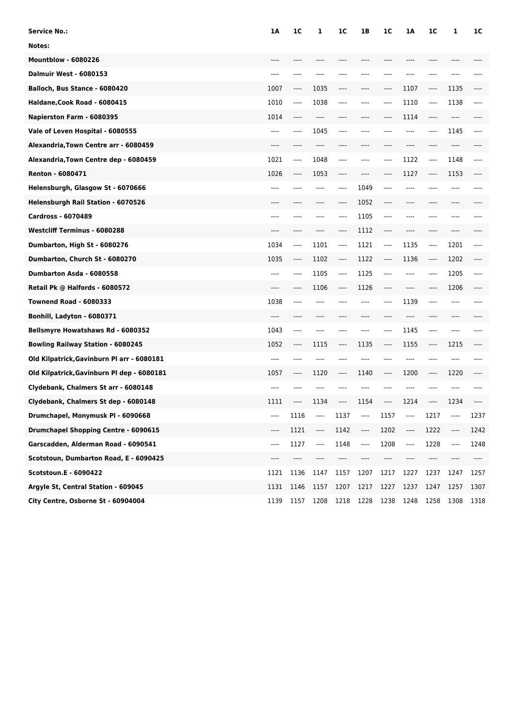| <b>Service No.:</b>                        | 1A    | 1C   | 1                        | 1 <sup>C</sup> | 1В   | 1 <sub>C</sub> | 1A    | 1C   | 1      | 1C   |
|--------------------------------------------|-------|------|--------------------------|----------------|------|----------------|-------|------|--------|------|
| Notes:                                     |       |      |                          |                |      |                |       |      |        |      |
| <b>Mountblow - 6080226</b>                 |       |      |                          |                |      |                |       |      |        |      |
| <b>Dalmuir West - 6080153</b>              | ----  | ---- | ----                     | ----           |      | ----           | ----  | ---- | ----   |      |
| Balloch, Bus Stance - 6080420              | 1007  | ---- | 1035                     | ----           | ---- | $-----$        | 1107  | ---- | 1135   | ---- |
| Haldane, Cook Road - 6080415               | 1010  | ---- | 1038                     | ----           | ---- | ----           | 1110  | ---- | 1138   | ---- |
| Napierston Farm - 6080395                  | 1014  | ---- | ----                     | ----           |      | ----           | 1114  | ---- | ----   |      |
| Vale of Leven Hospital - 6080555           | ----  | ---- | 1045                     | ----           | ---- | $---$          | ----  | ---- | 1145   | ---- |
| Alexandria, Town Centre arr - 6080459      | $---$ | ---- | $---$                    | ----           | ---- | $---$          | $---$ | ---- | $---$  |      |
| Alexandria, Town Centre dep - 6080459      | 1021  | ---- | 1048                     | ----           | ---- | ----           | 1122  | ---- | 1148   | ---- |
| Renton - 6080471                           | 1026  | ---- | 1053                     | ----           | ---- | ----           | 1127  | ---- | 1153   | ---- |
| Helensburgh, Glasgow St - 6070666          | ----  | ---- | ----                     | ----           | 1049 | $---$          | ----  | ---- | ----   |      |
| Helensburgh Rail Station - 6070526         | $---$ | ---- | $---$                    | ----           | 1052 | $-----$        | $---$ | ---- | $---$  |      |
| <b>Cardross - 6070489</b>                  | ----  | ---- | ----                     | ----           | 1105 | $---$          | ----  | ---- | ----   |      |
| <b>Westcliff Terminus - 6080288</b>        | ----  | ---- | ----                     | ----           | 1112 | $---$          | ----  | ---- | ----   |      |
| Dumbarton, High St - 6080276               | 1034  | ---- | 1101                     | ----           | 1121 | $---$          | 1135  | ---- | 1201   | ---- |
| Dumbarton, Church St - 6080270             | 1035  | ---- | 1102                     | ----           | 1122 | ----           | 1136  | ---- | 1202   | ---- |
| Dumbarton Asda - 6080558                   | ----  | ---- | 1105                     | $---$          | 1125 | $---$          | ----  | ---- | 1205   | ---- |
| Retail Pk @ Halfords - 6080572             | ----  | ---- | 1106                     | ----           | 1126 | $---$          | ----  | ---- | 1206   | ---- |
| <b>Townend Road - 6080333</b>              | 1038  | ---- | ----                     | ----           | ---- | $---$          | 1139  | ---- | ----   |      |
| Bonhill, Ladyton - 6080371                 | ----  | ---- | $---$                    | ----           | ---- | $---$          | $---$ | ---- | $---$  |      |
| Bellsmyre Howatshaws Rd - 6080352          | 1043  | ---- | ----                     | ----           | ---- | ----           | 1145  | ---- | ----   |      |
| <b>Bowling Railway Station - 6080245</b>   | 1052  | ---- | 1115                     | ----           | 1135 | $-----$        | 1155  | ---- | 1215   | ---- |
| Old Kilpatrick, Gavinburn Pl arr - 6080181 | ----  | ---- | $---$                    | ----           | ---- | $---$          | $---$ | ---- | ----   |      |
| Old Kilpatrick, Gavinburn Pl dep - 6080181 | 1057  | ---- | 1120                     | ----           | 1140 | $-----$        | 1200  | ---- | 1220   |      |
| Clydebank, Chalmers St arr - 6080148       | ----  | ---- | ----                     |                | ---- | ----           | ----  | ---- | ----   |      |
| Clydebank, Chalmers St dep - 6080148       | 1111  | ---- | 1134                     | ----           | 1154 | $---$          | 1214  | ---- | 1234   |      |
| Drumchapel, Monymusk PI - 6090668          |       | 1116 | $---$                    | 1137           | ---- | 1157           | ----  | 1217 | $-- -$ | 1237 |
| Drumchapel Shopping Centre - 6090615       | ----  | 1121 | ----                     | 1142           | ---- | 1202           | ----  | 1222 | ----   | 1242 |
| Garscadden, Alderman Road - 6090541        | ----  | 1127 | $\overline{\phantom{a}}$ | 1148           | ---- | 1208           | ----  | 1228 | ----   | 1248 |
| Scotstoun, Dumbarton Road, E - 6090425     | ----  | ---- | ----                     | ----           | ---- | ----           | ----  | ---- |        |      |
| Scotstoun.E - 6090422                      | 1121  | 1136 | 1147                     | 1157           | 1207 | 1217           | 1227  | 1237 | 1247   | 1257 |
| Argyle St, Central Station - 609045        | 1131  | 1146 | 1157                     | 1207           | 1217 | 1227           | 1237  | 1247 | 1257   | 1307 |
| City Centre, Osborne St - 60904004         | 1139  | 1157 | 1208                     | 1218           | 1228 | 1238           | 1248  | 1258 | 1308   | 1318 |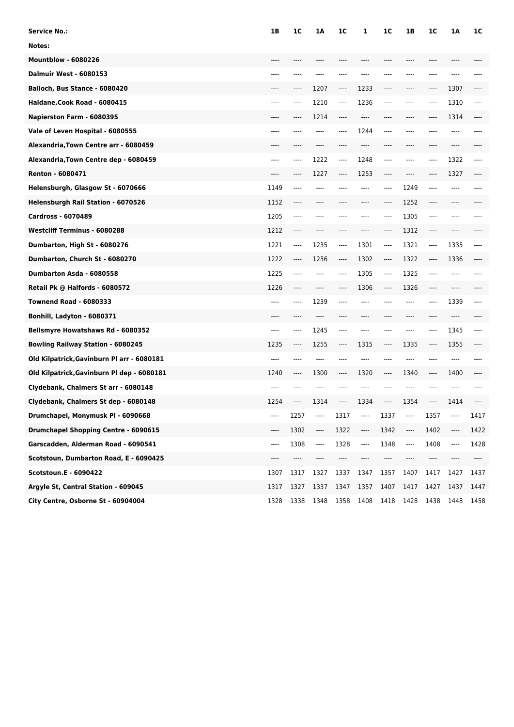| Service No.:                                | 1B   | 1C   | 1A   | 1 <sup>C</sup> | 1    | 1 <sup>C</sup> | 1B   | 1C   | 1A   | 1C   |
|---------------------------------------------|------|------|------|----------------|------|----------------|------|------|------|------|
| Notes:                                      |      |      |      |                |      |                |      |      |      |      |
| <b>Mountblow - 6080226</b>                  |      |      |      |                |      |                |      |      |      |      |
| <b>Dalmuir West - 6080153</b>               | ---- |      |      | ----           |      |                | ---- | ---- |      |      |
| Balloch, Bus Stance - 6080420               |      | ---- | 1207 | ----           | 1233 | $-----$        | ---- | ---- | 1307 |      |
| Haldane, Cook Road - 6080415                | ---- | ---- | 1210 | ----           | 1236 | ----           | ---- | ---- | 1310 | ---- |
| Napierston Farm - 6080395                   |      |      | 1214 | ----           |      |                |      |      | 1314 |      |
| Vale of Leven Hospital - 6080555            | ---- |      | ---- | ----           | 1244 | ----           | ---- | ---- | ---- |      |
| Alexandria, Town Centre arr - 6080459       |      |      | ---- | ----           | ---- | ----           | ---- | ---- | ---- |      |
| Alexandria, Town Centre dep - 6080459       | ---- | ---- | 1222 | ----           | 1248 | ----           | ---- | ---- | 1322 | ---- |
| Renton - 6080471                            |      | ---- | 1227 | ----           | 1253 | ----           | ---- | ---- | 1327 |      |
| Helensburgh, Glasgow St - 6070666           | 1149 | ---- | ---- | ----           | ---- | ----           | 1249 | ---- | ---- |      |
| Helensburgh Rail Station - 6070526          | 1152 | ---- | ---- | ----           | ---- | ----           | 1252 | ---- | ---- |      |
| <b>Cardross - 6070489</b>                   | 1205 | ---- |      |                |      | ----           | 1305 | ---- |      |      |
| <b>Westcliff Terminus - 6080288</b>         | 1212 | ---- |      |                |      | ----           | 1312 | ---- |      |      |
| Dumbarton, High St - 6080276                | 1221 | ---- | 1235 | ----           | 1301 | $-----$        | 1321 | ---- | 1335 | ---- |
| Dumbarton, Church St - 6080270              | 1222 | ---- | 1236 | ----           | 1302 | ----           | 1322 | ---- | 1336 |      |
| Dumbarton Asda - 6080558                    | 1225 | ---- | ---- | ----           | 1305 | $-----$        | 1325 | ---- | ---- |      |
| Retail Pk @ Halfords - 6080572              | 1226 |      |      |                | 1306 | ----           | 1326 |      |      |      |
| <b>Townend Road - 6080333</b>               | ---- | ---- | 1239 | ----           |      |                | ---- | ---- | 1339 |      |
| Bonhill, Ladyton - 6080371                  | ---- |      | ---- | ----           | ---- | ----           | ---- | ---- | ---- |      |
| Bellsmyre Howatshaws Rd - 6080352           | ---- | ---- | 1245 | ----           |      |                | ---- | ---- | 1345 | ---- |
| <b>Bowling Railway Station - 6080245</b>    | 1235 | ---- | 1255 | ----           | 1315 | $-----$        | 1335 | ---- | 1355 |      |
| Old Kilpatrick, Gavinburn Pl arr - 6080181  | ---- | ---- | ---- | $---$          |      | ----           | ---- | ---- | ---- |      |
| Old Kilpatrick, Gavinburn Pl dep - 6080181  | 1240 | ---- | 1300 | ----           | 1320 | ----           | 1340 | ---- | 1400 |      |
| Clydebank, Chalmers St arr - 6080148        | ---- |      |      |                |      |                | ---- |      |      |      |
| Clydebank, Chalmers St dep - 6080148        | 1254 | ---- | 1314 | ----           | 1334 | $-----$        | 1354 |      | 1414 |      |
| Drumchapel, Monymusk PI - 6090668           | ---- | 1257 | ---- | 1317           | ---- | 1337           | ---- | 1357 |      | 1417 |
| <b>Drumchapel Shopping Centre - 6090615</b> | ---- | 1302 | ---- | 1322           | ---- | 1342           | ---- | 1402 | ---- | 1422 |
| Garscadden, Alderman Road - 6090541         | ---- | 1308 | ---- | 1328           | ---- | 1348           | ---- | 1408 | ---- | 1428 |
| Scotstoun, Dumbarton Road, E - 6090425      | ---- | ---- |      |                |      | ----           | ---- | ---- |      |      |
| Scotstoun.E - 6090422                       | 1307 | 1317 | 1327 | 1337           | 1347 | 1357           | 1407 | 1417 | 1427 | 1437 |
| Argyle St, Central Station - 609045         | 1317 | 1327 | 1337 | 1347           | 1357 | 1407           | 1417 | 1427 | 1437 | 1447 |
| City Centre, Osborne St - 60904004          | 1328 | 1338 | 1348 | 1358           | 1408 | 1418           | 1428 | 1438 | 1448 | 1458 |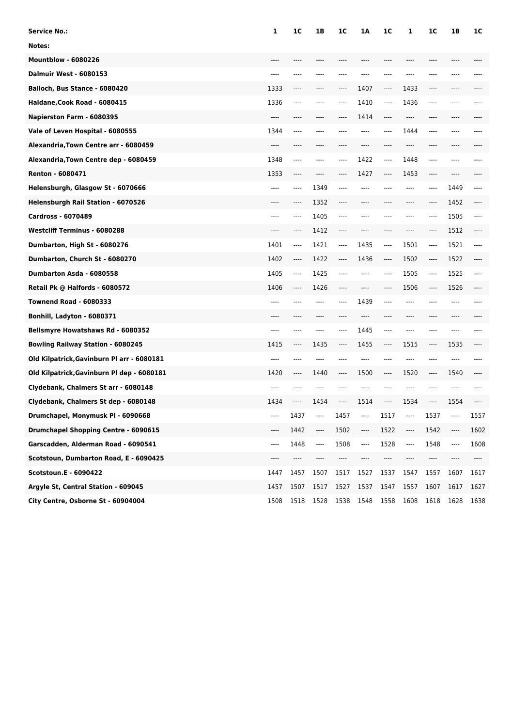| Service No.:                                | 1       | 1C   | 1B   | 1 <sup>C</sup> | 1Α   | 1 <sup>C</sup>                | 1       | 1 <sup>C</sup> | 1B   | 1C   |
|---------------------------------------------|---------|------|------|----------------|------|-------------------------------|---------|----------------|------|------|
| Notes:                                      |         |      |      |                |      |                               |         |                |      |      |
| <b>Mountblow - 6080226</b>                  |         |      |      |                |      |                               |         |                |      |      |
| <b>Dalmuir West - 6080153</b>               | ----    | ---- |      | ----           |      |                               |         |                |      |      |
| Balloch, Bus Stance - 6080420               | 1333    | ---- | ---- | ----           | 1407 | $-----$                       | 1433    | ----           | ---- |      |
| Haldane, Cook Road - 6080415                | 1336    | ---- | ---- | ----           | 1410 | $-----$                       | 1436    | ----           | ---- |      |
| Napierston Farm - 6080395                   | ----    |      |      |                | 1414 |                               | ----    |                |      |      |
| Vale of Leven Hospital - 6080555            | 1344    | ---- |      |                | ---- | ----                          | 1444    | ----           | ---- |      |
| Alexandria, Town Centre arr - 6080459       | $-----$ | ---- |      | ----           |      | ----                          | $-----$ | ----           | ---- |      |
| Alexandria, Town Centre dep - 6080459       | 1348    | ---- |      | ----           | 1422 | $-----$                       | 1448    | ----           |      |      |
| Renton - 6080471                            | 1353    |      |      |                | 1427 | $-----$                       | 1453    | ----           |      |      |
| Helensburgh, Glasgow St - 6070666           | ----    | ---- | 1349 | ----           |      |                               | ----    | ----           | 1449 | ---- |
| Helensburgh Rail Station - 6070526          | ----    | ---- | 1352 | ----           | ---- | $-----$                       | ----    | ----           | 1452 |      |
| <b>Cardross - 6070489</b>                   | ----    |      | 1405 | ----           |      |                               |         | ----           | 1505 | ---- |
| <b>Westcliff Terminus - 6080288</b>         |         | ---- | 1412 | ----           |      |                               |         | ----           | 1512 |      |
| Dumbarton, High St - 6080276                | 1401    | ---- | 1421 | ----           | 1435 | $\hspace{1.5cm} \textbf{---}$ | 1501    | $-----$        | 1521 | ---- |
| Dumbarton, Church St - 6080270              | 1402    | ---- | 1422 | ----           | 1436 | $\hspace{1.5cm} \textbf{---}$ | 1502    | ----           | 1522 |      |
| Dumbarton Asda - 6080558                    | 1405    | ---- | 1425 | ----           |      | ----                          | 1505    | ----           | 1525 | ---- |
| Retail Pk @ Halfords - 6080572              | 1406    | ---- | 1426 | ----           |      | ----                          | 1506    | ----           | 1526 |      |
| <b>Townend Road - 6080333</b>               | ----    |      | ---- | ----           | 1439 | $-----$                       | ----    |                | ---- |      |
| Bonhill, Ladyton - 6080371                  | ----    | ---- | ---- | ----           | ---- | ----                          | ----    | ----           | ---- |      |
| Bellsmyre Howatshaws Rd - 6080352           | ----    |      | ---- | ----           | 1445 | $-----$                       | ----    | ----           | ---- |      |
| <b>Bowling Railway Station - 6080245</b>    | 1415    | ---- | 1435 | ----           | 1455 | $-----$                       | 1515    | ----           | 1535 |      |
| Old Kilpatrick, Gavinburn Pl arr - 6080181  | ----    | ---- | ---- | ----           | ---- | $---$                         | ----    | ----           | ---- |      |
| Old Kilpatrick, Gavinburn Pl dep - 6080181  | 1420    | ---- | 1440 | ----           | 1500 | $\hspace{1.5cm} \textbf{---}$ | 1520    | ----           | 1540 |      |
| Clydebank, Chalmers St arr - 6080148        | ----    |      |      |                |      |                               | ----    |                |      |      |
| Clydebank, Chalmers St dep - 6080148        | 1434    |      | 1454 | ----           | 1514 | $-----$                       | 1534    | ----           | 1554 |      |
| Drumchapel, Monymusk PI - 6090668           | ----    | 1437 | ---- | 1457           | ---- | 1517                          | ----    | 1537           |      | 1557 |
| <b>Drumchapel Shopping Centre - 6090615</b> | ----    | 1442 | ---- | 1502           | ---- | 1522                          | ----    | 1542           |      | 1602 |
| Garscadden, Alderman Road - 6090541         | ----    | 1448 | ---- | 1508           | ---- | 1528                          | ----    | 1548           | ---- | 1608 |
| Scotstoun, Dumbarton Road, E - 6090425      | ----    | ---- |      |                |      | ----                          | ----    | ----           |      |      |
| Scotstoun.E - 6090422                       | 1447    | 1457 | 1507 | 1517           | 1527 | 1537                          | 1547    | 1557           | 1607 | 1617 |
| Argyle St, Central Station - 609045         | 1457    | 1507 | 1517 | 1527           | 1537 | 1547                          | 1557    | 1607           | 1617 | 1627 |
| City Centre, Osborne St - 60904004          | 1508    | 1518 | 1528 | 1538           | 1548 | 1558                          | 1608    | 1618           | 1628 | 1638 |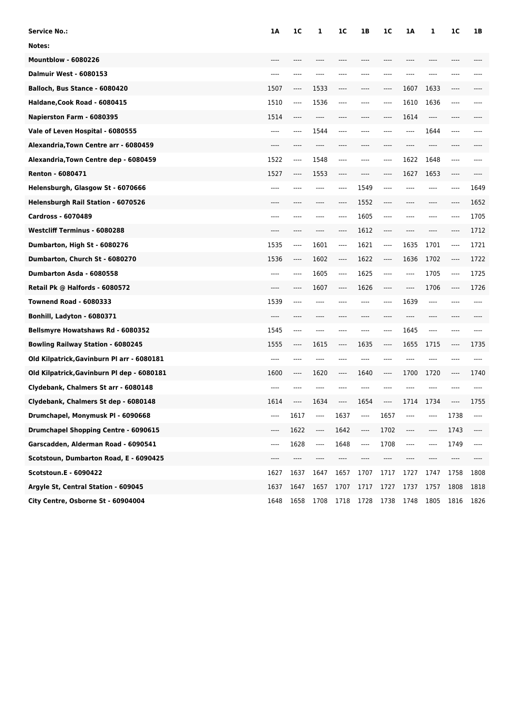| <b>Service No.:</b>                        | 1A    | 1C   | 1                             | 1 <sup>C</sup> | 1В   | 1C       | 1A      | 1       | 1 <sup>C</sup> | 1B   |
|--------------------------------------------|-------|------|-------------------------------|----------------|------|----------|---------|---------|----------------|------|
| Notes:                                     |       |      |                               |                |      |          |         |         |                |      |
| <b>Mountblow - 6080226</b>                 | ----  |      |                               |                |      |          |         |         |                |      |
| <b>Dalmuir West - 6080153</b>              | $---$ | ---- | ----                          | ----           |      | $---$    | ----    | ----    | ----           |      |
| Balloch, Bus Stance - 6080420              | 1507  | ---- | 1533                          | ----           | ---- | $---$    | 1607    | 1633    | $\cdots$       |      |
| Haldane, Cook Road - 6080415               | 1510  | ---- | 1536                          | ----           | ---- | $---$    | 1610    | 1636    | $---$          |      |
| Napierston Farm - 6080395                  | 1514  | ---- | ----                          | ----           |      | $---$    | 1614    | $---$   | ----           |      |
| Vale of Leven Hospital - 6080555           | ----  | ---- | 1544                          | ----           | ---- | $---$    | $---$   | 1644    | $---$          | ---- |
| Alexandria, Town Centre arr - 6080459      | $---$ | ---- | $---$                         | ----           | ---- | $---$    | $---$   | $---$   | $---$          |      |
| Alexandria, Town Centre dep - 6080459      | 1522  | ---- | 1548                          | ----           | ---- | $---$    | 1622    | 1648    | $---$          |      |
| Renton - 6080471                           | 1527  | ---- | 1553                          | ----           | ---- | $---$    | 1627    | 1653    | ----           |      |
| Helensburgh, Glasgow St - 6070666          | $---$ | ---- | $---$                         | ----           | 1549 | $---$    | ----    | ----    | $---$          | 1649 |
| Helensburgh Rail Station - 6070526         | $---$ | ---- | $---$                         | $---$          | 1552 | $-----$  | $---$   | $---$   | $---$          | 1652 |
| <b>Cardross - 6070489</b>                  | ----  | ---- | ----                          | ----           | 1605 | $---$    | ----    | ----    | $---$          | 1705 |
| <b>Westcliff Terminus - 6080288</b>        | ----  | ---- | ----                          | $---$          | 1612 | $---$    | $---$   | ----    | $---$          | 1712 |
| Dumbarton, High St - 6080276               | 1535  | ---- | 1601                          | ----           | 1621 | $---$    | 1635    | 1701    | $---$          | 1721 |
| Dumbarton, Church St - 6080270             | 1536  | ---- | 1602                          | ----           | 1622 | $\cdots$ | 1636    | 1702    | $\cdots$       | 1722 |
| Dumbarton Asda - 6080558                   | $---$ | ---- | 1605                          | ----           | 1625 | $---$    | $---$   | 1705    | $---$          | 1725 |
| Retail Pk @ Halfords - 6080572             | ----  | ---- | 1607                          | ----           | 1626 | $---$    | ----    | 1706    | $---$          | 1726 |
| <b>Townend Road - 6080333</b>              | 1539  | ---- | ----                          | ----           | ---- | $---$    | 1639    | $-----$ | $---$          | ---- |
| Bonhill, Ladyton - 6080371                 | $---$ | ---- | $---$                         | ----           | ---- | $---$    | $---$   | $---$   | $---$          |      |
| Bellsmyre Howatshaws Rd - 6080352          | 1545  | ---- | $---$                         | ----           | ---- | $---$    | 1645    | ----    | $---$          |      |
| <b>Bowling Railway Station - 6080245</b>   | 1555  | ---- | 1615                          | ----           | 1635 | $---$    | 1655    | 1715    | $-----$        | 1735 |
| Old Kilpatrick, Gavinburn Pl arr - 6080181 | $---$ | ---- | $---$                         | $---$          | ---- | $---$    | $---$   | ----    | $---$          | ---- |
| Old Kilpatrick, Gavinburn Pl dep - 6080181 | 1600  | ---- | 1620                          | ----           | 1640 | $-----$  | 1700    | 1720    | $\cdots$       | 1740 |
| Clydebank, Chalmers St arr - 6080148       | $---$ | ---- |                               |                |      | $---$    | ----    | ----    | $---$          | ---- |
| Clydebank, Chalmers St dep - 6080148       | 1614  | ---- | 1634                          | $---$          | 1654 | $-----$  | 1714    | 1734    | $---$          | 1755 |
| Drumchapel, Monymusk PI - 6090668          | ----  | 1617 | $\hspace{1.5cm} \textbf{---}$ | 1637           | ---- | 1657     |         |         | 1738           | ---- |
| Drumchapel Shopping Centre - 6090615       | ----  | 1622 | ----                          | 1642           | ---- | 1702     | $-----$ | ----    | 1743           | ---- |
| Garscadden, Alderman Road - 6090541        | ----  | 1628 | ----                          | 1648           | ---- | 1708     | ----    | ----    | 1749           | ---- |
| Scotstoun, Dumbarton Road, E - 6090425     | ----  | ---- | ----                          | ----           | ---- | ----     | ----    | ----    | ----           | ---- |
| <b>Scotstoun.E - 6090422</b>               | 1627  | 1637 | 1647                          | 1657           | 1707 | 1717     | 1727    | 1747    | 1758           | 1808 |
| Argyle St, Central Station - 609045        | 1637  | 1647 | 1657                          | 1707           | 1717 | 1727     | 1737    | 1757    | 1808           | 1818 |
| City Centre, Osborne St - 60904004         | 1648  | 1658 | 1708                          | 1718           | 1728 | 1738     | 1748    | 1805    | 1816           | 1826 |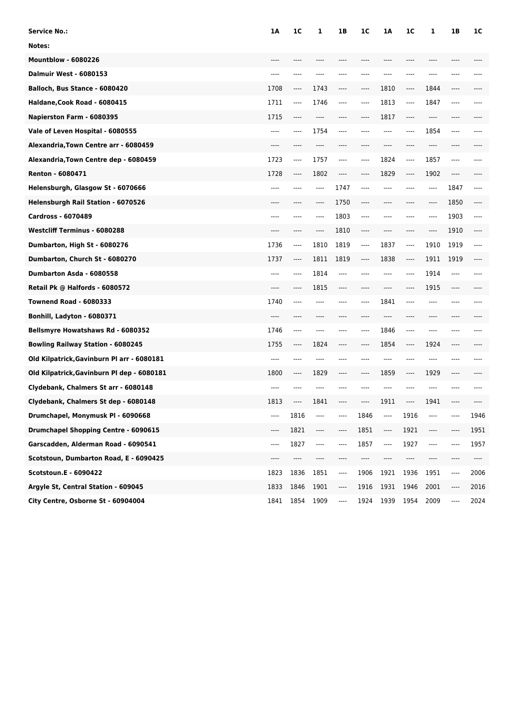| <b>Service No.:</b>                         | 1A   | 1C   | 1                              | 1В   | 1C   | 1A   | 1C      | 1    | 1B   | 1C   |
|---------------------------------------------|------|------|--------------------------------|------|------|------|---------|------|------|------|
| Notes:                                      |      |      |                                |      |      |      |         |      |      |      |
| <b>Mountblow - 6080226</b>                  |      |      |                                |      |      |      |         |      |      |      |
| <b>Dalmuir West - 6080153</b>               | ---- | ---- |                                | ---- |      |      | ----    |      |      |      |
| Balloch, Bus Stance - 6080420               | 1708 | ---- | 1743                           | ---- | ---- | 1810 | ----    | 1844 | ---- |      |
| Haldane, Cook Road - 6080415                | 1711 | ---- | 1746                           | ---- | ---- | 1813 | $-----$ | 1847 | ---- |      |
| Napierston Farm - 6080395                   | 1715 | ---- |                                |      | ---- | 1817 | ----    |      |      |      |
| Vale of Leven Hospital - 6080555            | ---- | ---- | 1754                           | ---- | ---- | ---- | ----    | 1854 | ---- |      |
| Alexandria, Town Centre arr - 6080459       | ---- | ---- | ----                           | ---- | ---- | ---- | ----    | ---- | ---- |      |
| Alexandria, Town Centre dep - 6080459       | 1723 | ---- | 1757                           | ---- | ---- | 1824 | ----    | 1857 | ---- |      |
| Renton - 6080471                            | 1728 | ---- | 1802                           | ---- | ---- | 1829 | ----    | 1902 | ---- |      |
| Helensburgh, Glasgow St - 6070666           | ---- | ---- | ----                           | 1747 |      | ---- | ----    | ---- | 1847 |      |
| Helensburgh Rail Station - 6070526          | ---- | ---- | ----                           | 1750 | ---- | ---- | ----    | ---- | 1850 |      |
| <b>Cardross - 6070489</b>                   | ---- |      |                                | 1803 | ---- |      |         | ---- | 1903 | ---- |
| <b>Westcliff Terminus - 6080288</b>         |      |      |                                | 1810 | ---- |      | ----    | ---- | 1910 |      |
| Dumbarton, High St - 6080276                | 1736 | ---- | 1810                           | 1819 | ---- | 1837 | ----    | 1910 | 1919 |      |
| Dumbarton, Church St - 6080270              | 1737 | ---- | 1811                           | 1819 | ---- | 1838 | ----    | 1911 | 1919 |      |
| Dumbarton Asda - 6080558                    |      | ---- | 1814                           | ---- |      |      | ----    | 1914 | ---- |      |
| Retail Pk @ Halfords - 6080572              |      | ---- | 1815                           | ---- |      |      | ----    | 1915 | ---- |      |
| <b>Townend Road - 6080333</b>               | 1740 | ---- | ----                           | ---- | ---- | 1841 | $-----$ | ---- | ---- |      |
| Bonhill, Ladyton - 6080371                  | ---- | ---- | ----                           | ---- |      | ---- | ----    | ---- | ---- |      |
| Bellsmyre Howatshaws Rd - 6080352           | 1746 | ---- | ----                           | ---- | ---- | 1846 | ----    |      | ---- |      |
| <b>Bowling Railway Station - 6080245</b>    | 1755 | ---- | 1824                           | ---- | ---- | 1854 | ----    | 1924 | ---- |      |
| Old Kilpatrick, Gavinburn Pl arr - 6080181  | ---- | ---- |                                | ---- |      | ---- | ----    | ---- | ---- |      |
| Old Kilpatrick, Gavinburn Pl dep - 6080181  | 1800 | ---- | 1829                           | ---- | ---- | 1859 | ----    | 1929 | ---- |      |
| Clydebank, Chalmers St arr - 6080148        |      |      |                                |      |      |      | ---     |      |      |      |
| Clydebank, Chalmers St dep - 6080148        | 1813 | ---- | 1841                           | ---- | ---- | 1911 | ----    | 1941 |      |      |
| Drumchapel, Monymusk PI - 6090668           | ---- | 1816 |                                | ---- | 1846 | ---- | 1916    |      |      | 1946 |
| <b>Drumchapel Shopping Centre - 6090615</b> | ---- | 1821 | ----                           | ---- | 1851 | ---- | 1921    | ---- |      | 1951 |
| Garscadden, Alderman Road - 6090541         | ---- | 1827 | $\qquad \qquad \textbf{---}\\$ | ---- | 1857 | ---- | 1927    | ---- |      | 1957 |
| Scotstoun, Dumbarton Road, E - 6090425      | ---- | ---- | ----                           | ---- |      | ---- | ----    | ---- |      | ---- |
| Scotstoun.E - 6090422                       | 1823 | 1836 | 1851                           | ---- | 1906 | 1921 | 1936    | 1951 | ---- | 2006 |
| Argyle St, Central Station - 609045         | 1833 | 1846 | 1901                           | ---- | 1916 | 1931 | 1946    | 2001 | ---- | 2016 |
| City Centre, Osborne St - 60904004          | 1841 | 1854 | 1909                           | ---- | 1924 | 1939 | 1954    | 2009 | ---- | 2024 |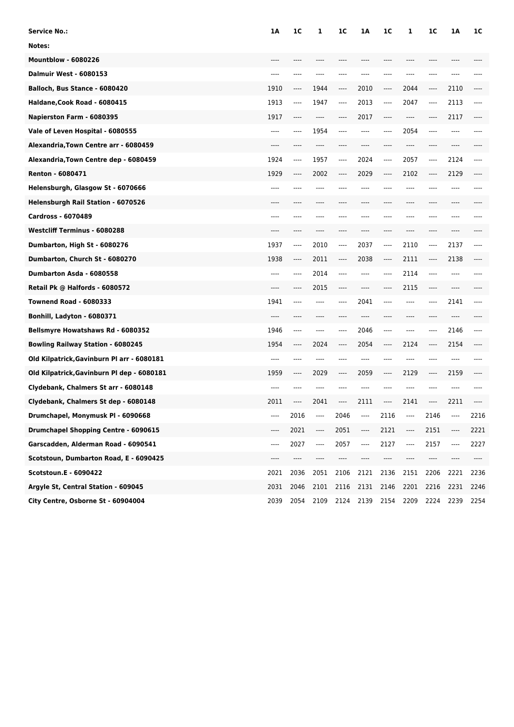| Service No.:                                | 1A   | 1C   | 1     | 1 <sup>C</sup> | 1Α   | 1 <sup>C</sup> | 1    | 1C   | 1A   | 1C   |
|---------------------------------------------|------|------|-------|----------------|------|----------------|------|------|------|------|
| Notes:                                      |      |      |       |                |      |                |      |      |      |      |
| <b>Mountblow - 6080226</b>                  |      |      |       |                |      |                |      |      |      |      |
| <b>Dalmuir West - 6080153</b>               | ---- | ---- |       | ----           |      |                |      | ---- | ---- |      |
| Balloch, Bus Stance - 6080420               | 1910 | ---- | 1944  | ----           | 2010 | $-----$        | 2044 | ---- | 2110 |      |
| Haldane, Cook Road - 6080415                | 1913 | ---- | 1947  | ----           | 2013 | ----           | 2047 | ---- | 2113 | ---- |
| Napierston Farm - 6080395                   | 1917 |      | ----  |                | 2017 | ----           | ---- |      | 2117 |      |
| Vale of Leven Hospital - 6080555            | ---- | ---- | 1954  | ----           | ---- | ----           | 2054 | ---- | ---- |      |
| Alexandria, Town Centre arr - 6080459       | ---- | ---- | ----  | ----           |      | ----           | ---- | ---- | ---- |      |
| Alexandria, Town Centre dep - 6080459       | 1924 | ---- | 1957  | ----           | 2024 | ----           | 2057 | ---- | 2124 | ---- |
| Renton - 6080471                            | 1929 | ---- | 2002  | ----           | 2029 | ----           | 2102 | ---- | 2129 |      |
| Helensburgh, Glasgow St - 6070666           | ---- |      | ----  | ----           |      |                | ---- |      | ---- |      |
| Helensburgh Rail Station - 6070526          | ---- | ---- |       | ----           | ---- | ----           | ---- | ---- | ---- |      |
| <b>Cardross - 6070489</b>                   |      |      |       |                |      |                |      |      |      |      |
| <b>Westcliff Terminus - 6080288</b>         |      |      |       |                |      |                |      |      |      |      |
| Dumbarton, High St - 6080276                | 1937 | ---- | 2010  | ----           | 2037 | $-----$        | 2110 | ---- | 2137 | ---- |
| Dumbarton, Church St - 6080270              | 1938 | ---- | 2011  | ----           | 2038 | ----           | 2111 | ---- | 2138 |      |
| Dumbarton Asda - 6080558                    | ---- | ---- | 2014  | ----           |      | ----           | 2114 | ---- | ---- |      |
| Retail Pk @ Halfords - 6080572              |      | ---- | 2015  | ----           |      | ----           | 2115 |      |      |      |
| <b>Townend Road - 6080333</b>               | 1941 | ---- | ----  | ----           | 2041 | ----           | ---- | ---- | 2141 |      |
| Bonhill, Ladyton - 6080371                  | ---- | ---- | ----  | ----           | ---- | ----           | ---- | ---- | ---- |      |
| Bellsmyre Howatshaws Rd - 6080352           | 1946 | ---- | ----  | ----           | 2046 | ----           | ---- | ---- | 2146 | ---- |
| <b>Bowling Railway Station - 6080245</b>    | 1954 | ---- | 2024  | ----           | 2054 | ----           | 2124 | ---- | 2154 |      |
| Old Kilpatrick, Gavinburn Pl arr - 6080181  | ---- | ---- | ----  | $---$          | ---- | ----           | ---- | ---- | ---- |      |
| Old Kilpatrick, Gavinburn Pl dep - 6080181  | 1959 | ---- | 2029  | ----           | 2059 | ----           | 2129 | ---- | 2159 |      |
| Clydebank, Chalmers St arr - 6080148        | ---- |      |       |                |      |                | ---- |      | ---- |      |
| Clydebank, Chalmers St dep - 6080148        | 2011 | ---- | 2041  | ----           | 2111 | ----           | 2141 | ---- | 2211 |      |
| Drumchapel, Monymusk PI - 6090668           | ---- | 2016 | $---$ | 2046           | ---- | 2116           | ---- | 2146 |      | 2216 |
| <b>Drumchapel Shopping Centre - 6090615</b> | ---- | 2021 | ----  | 2051           | ---- | 2121           | ---- | 2151 | ---- | 2221 |
| Garscadden, Alderman Road - 6090541         | ---- | 2027 | ----  | 2057           | ---- | 2127           | ---- | 2157 | ---- | 2227 |
| Scotstoun, Dumbarton Road, E - 6090425      | ---- | ---- |       |                |      | ----           | ---- | ---- |      |      |
| Scotstoun.E - 6090422                       | 2021 | 2036 | 2051  | 2106           | 2121 | 2136           | 2151 | 2206 | 2221 | 2236 |
| Argyle St, Central Station - 609045         | 2031 | 2046 | 2101  | 2116           | 2131 | 2146           | 2201 | 2216 | 2231 | 2246 |
| City Centre, Osborne St - 60904004          | 2039 | 2054 | 2109  | 2124           | 2139 | 2154           | 2209 | 2224 | 2239 | 2254 |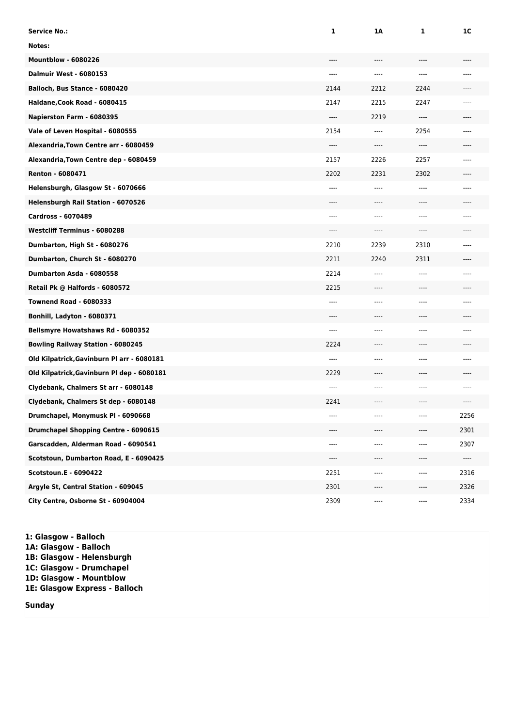| <b>Service No.:</b>                        | 1      | 1A    | 1     | 1C    |
|--------------------------------------------|--------|-------|-------|-------|
| Notes:                                     |        |       |       |       |
| <b>Mountblow - 6080226</b>                 | $---$  | $---$ | $---$ | $---$ |
| <b>Dalmuir West - 6080153</b>              | $---$  | ----  | $---$ | $---$ |
| Balloch, Bus Stance - 6080420              | 2144   | 2212  | 2244  |       |
| Haldane, Cook Road - 6080415               | 2147   | 2215  | 2247  | $---$ |
| Napierston Farm - 6080395                  | $---$  | 2219  | $---$ | $---$ |
| Vale of Leven Hospital - 6080555           | 2154   | $---$ | 2254  | ----  |
| Alexandria, Town Centre arr - 6080459      | $---$  | ----  | ----  | ----  |
| Alexandria, Town Centre dep - 6080459      | 2157   | 2226  | 2257  | $---$ |
| Renton - 6080471                           | 2202   | 2231  | 2302  | ----  |
| Helensburgh, Glasgow St - 6070666          | $---$  | $---$ | $---$ | $---$ |
| Helensburgh Rail Station - 6070526         | $---$  | ----  | $---$ |       |
| <b>Cardross - 6070489</b>                  | $---$  | ----  | $---$ | $---$ |
| <b>Westcliff Terminus - 6080288</b>        | $---$  | ----  | $---$ | $---$ |
| Dumbarton, High St - 6080276               | 2210   | 2239  | 2310  | $---$ |
| Dumbarton, Church St - 6080270             | 2211   | 2240  | 2311  | ----  |
| Dumbarton Asda - 6080558                   | 2214   | ----  | ----  | $---$ |
| Retail Pk @ Halfords - 6080572             | 2215   | ----  | $---$ | ----  |
| <b>Townend Road - 6080333</b>              | $---$  | $---$ | $---$ | $---$ |
| Bonhill, Ladyton - 6080371                 | $---$  | $---$ | ----  |       |
| <b>Bellsmyre Howatshaws Rd - 6080352</b>   | $---$  | ----  | $---$ | $---$ |
| <b>Bowling Railway Station - 6080245</b>   | 2224   | ----  | $---$ | $---$ |
| Old Kilpatrick, Gavinburn Pl arr - 6080181 | $---$  | ----  | ----  | ----  |
| Old Kilpatrick, Gavinburn Pl dep - 6080181 | 2229   | ----  | ----  | ----  |
| Clydebank, Chalmers St arr - 6080148       | $---$  | $---$ | ----  | ----  |
| Clydebank, Chalmers St dep - 6080148       | 2241   | $---$ | ----  | ----  |
| Drumchapel, Monymusk PI - 6090668          |        |       |       | 2256  |
| Drumchapel Shopping Centre - 6090615       |        |       |       | 2301  |
| Garscadden, Alderman Road - 6090541        | $-- -$ | ----  | $---$ | 2307  |
| Scotstoun, Dumbarton Road, E - 6090425     | $---$  | ----  | $---$ | ----  |
| Scotstoun.E - 6090422                      | 2251   | ----  | ----  | 2316  |
| Argyle St, Central Station - 609045        | 2301   | ----  | ----  | 2326  |
| City Centre, Osborne St - 60904004         | 2309   | ----  | ----  | 2334  |

**1: Glasgow - Balloch 1A: Glasgow - Balloch 1B: Glasgow - Helensburgh 1C: Glasgow - Drumchapel 1D: Glasgow - Mountblow 1E: Glasgow Express - Balloch**

**Sunday**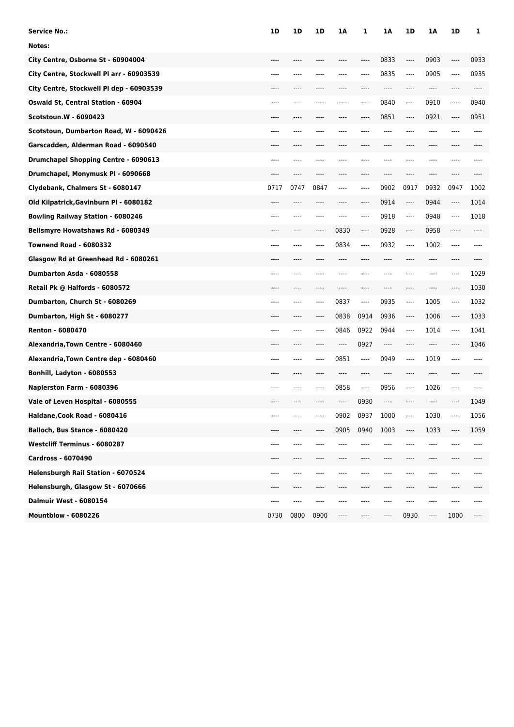| Service No.:                              | 1D   | 1D   | 1D   | 1A   | 1    | 1A      | 1D    | 1Α    | 1D     | 1    |
|-------------------------------------------|------|------|------|------|------|---------|-------|-------|--------|------|
| Notes:                                    |      |      |      |      |      |         |       |       |        |      |
| City Centre, Osborne St - 60904004        |      |      |      |      | ---- | 0833    | ----  | 0903  | $---$  | 0933 |
| City Centre, Stockwell Pl arr - 60903539  | ---- |      |      | ---- | ---- | 0835    | ----  | 0905  | $---$  | 0935 |
| City Centre, Stockwell Pl dep - 60903539  | ---- | ---- |      | ---- |      | $-----$ | ----  | ----  | ----   | ---- |
| <b>Oswald St, Central Station - 60904</b> | ---- |      |      | ---- | ---- | 0840    | $---$ | 0910  | $-- -$ | 0940 |
| <b>Scotstoun.W - 6090423</b>              |      |      |      |      |      | 0851    | $---$ | 0921  | $---$  | 0951 |
| Scotstoun, Dumbarton Road, W - 6090426    | ---- |      |      |      |      | ----    | ----  | ----  |        | ---- |
| Garscadden, Alderman Road - 6090540       | ---- |      |      | ---- |      | $---$   | ----  | ----  | ----   |      |
| Drumchapel Shopping Centre - 6090613      | ---- |      |      |      |      |         |       | ----  |        |      |
| Drumchapel, Monymusk PI - 6090668         |      |      |      |      |      |         |       | ----  |        |      |
| Clydebank, Chalmers St - 6080147          | 0717 | 0747 | 0847 | ---- | ---- | 0902    | 0917  | 0932  | 0947   | 1002 |
| Old Kilpatrick, Gavinburn Pl - 6080182    | ---- | ---- |      | ---- | ---- | 0914    | ----  | 0944  | ----   | 1014 |
| <b>Bowling Railway Station - 6080246</b>  | ---- |      |      | ---- | ---- | 0918    | ----  | 0948  | $---$  | 1018 |
| Bellsmyre Howatshaws Rd - 6080349         |      |      |      | 0830 | ---- | 0928    | ----  | 0958  | ----   |      |
| <b>Townend Road - 6080332</b>             | ---- |      |      | 0834 | ---- | 0932    | $---$ | 1002  | $---$  |      |
| Glasgow Rd at Greenhead Rd - 6080261      | ---- |      |      | ---- |      | ----    | ----  | ----  | ----   |      |
| Dumbarton Asda - 6080558                  | ---- |      |      |      |      |         |       | ----  | $---$  | 1029 |
| Retail Pk @ Halfords - 6080572            |      |      |      |      |      |         |       | ----  |        | 1030 |
| Dumbarton, Church St - 6080269            | ---- | ---- | ---- | 0837 | ---- | 0935    | ----  | 1005  | ----   | 1032 |
| Dumbarton, High St - 6080277              | ---- |      |      | 0838 | 0914 | 0936    | ----  | 1006  | $---$  | 1033 |
| <b>Renton - 6080470</b>                   | ---- |      |      | 0846 | 0922 | 0944    | $---$ | 1014  | $---$  | 1041 |
| Alexandria, Town Centre - 6080460         |      |      |      |      | 0927 | $---$   | ----  | ----  |        | 1046 |
| Alexandria, Town Centre dep - 6080460     | ---- | ---- |      | 0851 | ---- | 0949    | $---$ | 1019  | $-- -$ |      |
| Bonhill, Ladyton - 6080553                | ---- | ---- |      | ---- | ---- | ----    | ----  | $---$ | ----   |      |
| Napierston Farm - 6080396                 | ---- |      |      | 0858 | ---- | 0956    | $---$ | 1026  | $-- -$ |      |
| Vale of Leven Hospital - 6080555          |      |      |      |      | 0930 | $---$   |       |       |        | 1049 |
| Haldane, Cook Road - 6080416              |      |      |      | 0902 | 0937 | 1000    | ----  | 1030  |        | 1056 |
| Balloch, Bus Stance - 6080420             | ---- |      |      | 0905 | 0940 | 1003    | ----  | 1033  | ----   | 1059 |
| <b>Westcliff Terminus - 6080287</b>       | ---- |      |      |      |      |         | ----  | ----  |        | ---- |
| <b>Cardross - 6070490</b>                 |      |      |      |      |      |         |       |       |        |      |
| Helensburgh Rail Station - 6070524        | ---- | ---- |      |      |      |         |       | ----  | ----   |      |
| Helensburgh, Glasgow St - 6070666         | ---- | ---- | ---- | ---- | ---- | $---$   | ----  | ----  | ----   |      |
| <b>Dalmuir West - 6080154</b>             | ---- | ---- |      |      |      |         |       | ----  |        |      |
| <b>Mountblow - 6080226</b>                | 0730 | 0800 | 0900 |      |      |         | 0930  | ----  | 1000   |      |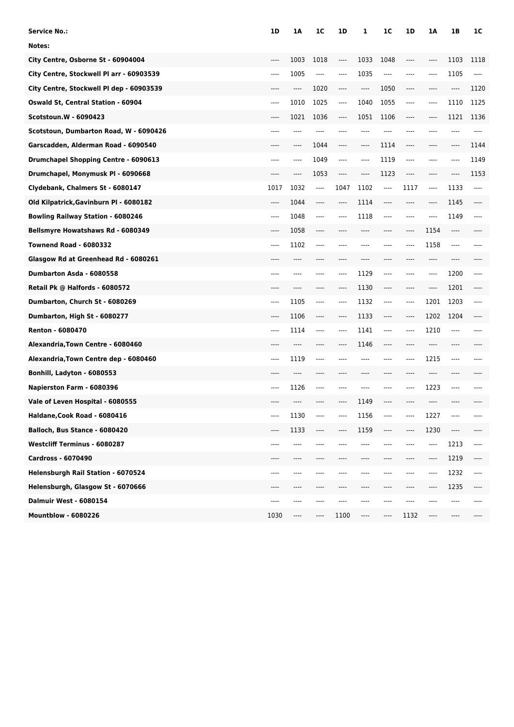| <b>Service No.:</b>                         | 1D    | 1Α   | 1 <sup>C</sup> | 1D   | 1                             | 1 <sup>C</sup> | 1D    | 1A    | 1B                            | 1C   |
|---------------------------------------------|-------|------|----------------|------|-------------------------------|----------------|-------|-------|-------------------------------|------|
| Notes:                                      |       |      |                |      |                               |                |       |       |                               |      |
| City Centre, Osborne St - 60904004          | ----  | 1003 | 1018           | ---- | 1033                          | 1048           | ----  | ----  | 1103                          | 1118 |
| City Centre, Stockwell Pl arr - 60903539    | ----  | 1005 | $---$          | ---- | 1035                          | $\cdots$       | ----  | ----  | 1105                          | ---- |
| City Centre, Stockwell Pl dep - 60903539    | ----  | ---- | 1020           | ---- | $\hspace{1.5cm} \textbf{---}$ | 1050           | ----  | ----  | $\hspace{1.5cm} \textbf{---}$ | 1120 |
| <b>Oswald St, Central Station - 60904</b>   | $---$ | 1010 | 1025           | ---- | 1040                          | 1055           | $---$ | ----  | 1110                          | 1125 |
| Scotstoun.W - 6090423                       | ----  | 1021 | 1036           | ---- | 1051                          | 1106           | ----  | ----  | 1121                          | 1136 |
| Scotstoun, Dumbarton Road, W - 6090426      | ----  | ---- | ----           |      |                               | ----           | ----  | ----  | ----                          | ---- |
| Garscadden, Alderman Road - 6090540         | ----  | ---- | 1044           | ---- | ----                          | 1114           | ----  | ----  | $---$                         | 1144 |
| <b>Drumchapel Shopping Centre - 6090613</b> | ----  | ---- | 1049           | ---- | ----                          | 1119           | $---$ | ----  |                               | 1149 |
| Drumchapel, Monymusk PI - 6090668           | ----  | ---- | 1053           | ---- | ----                          | 1123           | ----  | ----  |                               | 1153 |
| Clydebank, Chalmers St - 6080147            | 1017  | 1032 | ----           | 1047 | 1102                          | ----           | 1117  | $---$ | 1133                          | ---- |
| Old Kilpatrick, Gavinburn Pl - 6080182      | ----  | 1044 | $-----$        | ---- | 1114                          | $---$          | ----  | ----  | 1145                          | ---- |
| <b>Bowling Railway Station - 6080246</b>    | $---$ | 1048 | $---$          | ---- | 1118                          | $---$          | $---$ | $---$ | 1149                          | ---- |
| Bellsmyre Howatshaws Rd - 6080349           | ----  | 1058 | ----           |      |                               |                | ----  | 1154  | ----                          |      |
| <b>Townend Road - 6080332</b>               | $---$ | 1102 | $---$          | ---- |                               | ----           | $---$ | 1158  | $---$                         |      |
| Glasgow Rd at Greenhead Rd - 6080261        | ----  | ---- | ----           | ---- | ----                          | $---$          | ----  | ----  | $---$                         |      |
| Dumbarton Asda - 6080558                    | ----  | ---- |                | ---- | 1129                          | ----           | ----  | ----  | 1200                          | ---- |
| Retail Pk @ Halfords - 6080572              |       |      |                | ---- | 1130                          | ----           | ----  | ----  | 1201                          |      |
| Dumbarton, Church St - 6080269              | ----  | 1105 | $---$          | ---- | 1132                          | $---$          | ----  | 1201  | 1203                          |      |
| Dumbarton, High St - 6080277                | ----  | 1106 | $---$          | ---- | 1133                          | $---$          | ----  | 1202  | 1204                          |      |
| <b>Renton - 6080470</b>                     | ----  | 1114 | $---$          | ---- | 1141                          | $---$          | $---$ | 1210  | $---$                         |      |
| Alexandria, Town Centre - 6080460           |       |      |                | ---- | 1146                          | $---$          | ----  | ----  |                               |      |
| Alexandria, Town Centre dep - 6080460       | $---$ | 1119 | $---$          | ---- | $---$                         | $---$          | $---$ | 1215  | $---$                         |      |
| Bonhill, Ladyton - 6080553                  | ----  | ---- | ----           | ---- |                               | $---$          | ----  | $---$ | ----                          |      |
| Napierston Farm - 6080396                   | $---$ | 1126 | $---$          |      |                               |                | ----  | 1223  | $-- -$                        |      |
| Vale of Leven Hospital - 6080555            |       |      |                |      | 1149                          |                |       |       |                               |      |
| Haldane, Cook Road - 6080416                | ----  | 1130 |                |      | 1156                          |                |       | 1227  |                               |      |
| Balloch, Bus Stance - 6080420               | ----  | 1133 | ----           | ---- | 1159                          | ----           | ----  | 1230  | $\hspace{1.5cm} \textbf{---}$ |      |
| <b>Westcliff Terminus - 6080287</b>         | ----  | ---- |                |      |                               |                | ----  | ----  | 1213                          | ---- |
| Cardross - 6070490                          | ----  |      |                |      |                               |                |       |       | 1219                          | ---- |
| Helensburgh Rail Station - 6070524          | ----  | ---- |                |      |                               |                | ----  | ----  | 1232                          | ---- |
| Helensburgh, Glasgow St - 6070666           | ----  | ---- | ----           | ---- | ----                          | $-----$        | ----  | ----  | 1235                          | ---- |
| <b>Dalmuir West - 6080154</b>               | ----  | ---- |                |      |                               |                |       |       |                               |      |
| <b>Mountblow - 6080226</b>                  | 1030  | ---- | ----           | 1100 | ----                          | ----           | 1132  | ----  |                               |      |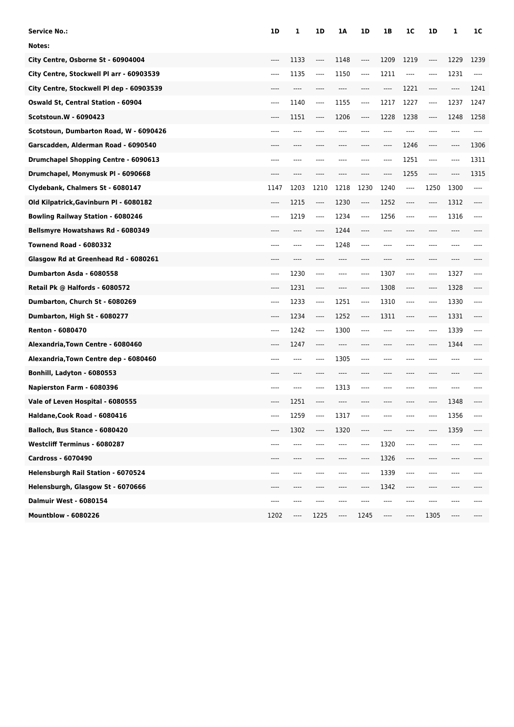| Service No.:                              | 1D      | 1    | 1D    | 1Α   | 1D   | 1B   | 1C      | 1D      | 1    | 1C    |
|-------------------------------------------|---------|------|-------|------|------|------|---------|---------|------|-------|
| Notes:                                    |         |      |       |      |      |      |         |         |      |       |
| City Centre, Osborne St - 60904004        | ----    | 1133 | ----  | 1148 | ---- | 1209 | 1219    | ----    | 1229 | 1239  |
| City Centre, Stockwell Pl arr - 60903539  | ----    | 1135 | ----  | 1150 | ---- | 1211 | ----    | $-----$ | 1231 | $---$ |
| City Centre, Stockwell PI dep - 60903539  | ----    | ---- | ----  | ---- | ---- | ---- | 1221    | ----    | ---- | 1241  |
| <b>Oswald St, Central Station - 60904</b> | ----    | 1140 | ----  | 1155 | ---- | 1217 | 1227    | ----    | 1237 | 1247  |
| Scotstoun.W - 6090423                     | ----    | 1151 | ----  | 1206 | ---- | 1228 | 1238    | ----    | 1248 | 1258  |
| Scotstoun, Dumbarton Road, W - 6090426    | ----    | ---- |       |      |      | ---- | ----    |         | ---- | ----  |
| Garscadden, Alderman Road - 6090540       |         | ---- |       | ---- | ---- | ---- | 1246    | $---$   | ---- | 1306  |
| Drumchapel Shopping Centre - 6090613      | ----    |      |       | ---- |      | ---- | 1251    | $-----$ | ---- | 1311  |
| Drumchapel, Monymusk PI - 6090668         |         |      |       |      |      | ---- | 1255    | $-----$ | ---- | 1315  |
| Clydebank, Chalmers St - 6080147          | 1147    | 1203 | 1210  | 1218 | 1230 | 1240 | ----    | 1250    | 1300 | ----  |
| Old Kilpatrick, Gavinburn Pl - 6080182    | ----    | 1215 | ----  | 1230 | ---- | 1252 | ----    | ----    | 1312 | ----  |
| <b>Bowling Railway Station - 6080246</b>  | ----    | 1219 | $---$ | 1234 | ---- | 1256 | ----    | ----    | 1316 | ----  |
| Bellsmyre Howatshaws Rd - 6080349         |         |      | ----  | 1244 |      |      |         |         |      |       |
| <b>Townend Road - 6080332</b>             | ----    | ---- | ----  | 1248 | ---- | ---- | ----    |         | ---- |       |
| Glasgow Rd at Greenhead Rd - 6080261      | ----    | ---- | ----  | ---- | ---- | ---- | ----    | ----    | ---- |       |
| Dumbarton Asda - 6080558                  | $-----$ | 1230 | ----  | ---- | ---- | 1307 | ----    | $-----$ | 1327 | ----  |
| Retail Pk @ Halfords - 6080572            |         | 1231 | ----  |      | ---- | 1308 | ----    | ----    | 1328 |       |
| Dumbarton, Church St - 6080269            | $-----$ | 1233 | ----  | 1251 | ---- | 1310 | $-----$ | $-----$ | 1330 | ----  |
| Dumbarton, High St - 6080277              | ----    | 1234 | ----  | 1252 | ---- | 1311 | ----    | ----    | 1331 | ----  |
| <b>Renton - 6080470</b>                   | ----    | 1242 | ----  | 1300 | ---- |      | ----    | ----    | 1339 | ----  |
| Alexandria, Town Centre - 6080460         | ----    | 1247 | ----  | ---- |      |      |         | ----    | 1344 |       |
| Alexandria, Town Centre dep - 6080460     | ----    | ---- | ----  | 1305 | ---- | ---- | ----    | $---$   | ---- |       |
| Bonhill, Ladyton - 6080553                | ----    | ---- | ----  | ---- | ---- | ---- | ----    | ----    | ---- |       |
| Napierston Farm - 6080396                 | ----    | ---- | ----  | 1313 | ---- |      | ----    |         |      |       |
| Vale of Leven Hospital - 6080555          | ----    | 1251 |       |      |      |      |         |         | 1348 |       |
| Haldane, Cook Road - 6080416              | ----    | 1259 | ----  | 1317 |      |      |         |         | 1356 | ----  |
| Balloch, Bus Stance - 6080420             | ----    | 1302 | ----  | 1320 | ---- | ---- | ----    | ----    | 1359 | ----  |
| <b>Westcliff Terminus - 6080287</b>       | ----    | ---- |       | ---- | ---- | 1320 | ----    | ----    | ---- | ----  |
| Cardross - 6070490                        | ----    | ---- |       | ---- | ---- | 1326 | ----    | ----    | ---- |       |
| Helensburgh Rail Station - 6070524        | ----    | ---- | ----  | ---- | ---- | 1339 | ----    | ----    | ---- |       |
| Helensburgh, Glasgow St - 6070666         | ----    | ---- | ----  | ---- | ---- | 1342 | ----    | ----    | ---- |       |
| Dalmuir West - 6080154                    | ----    | ---- | ----  | ---- |      |      | ---     |         | ---- | ----  |
| <b>Mountblow - 6080226</b>                | 1202    | ---- | 1225  | ---- | 1245 | ---- | ----    | 1305    | ---- |       |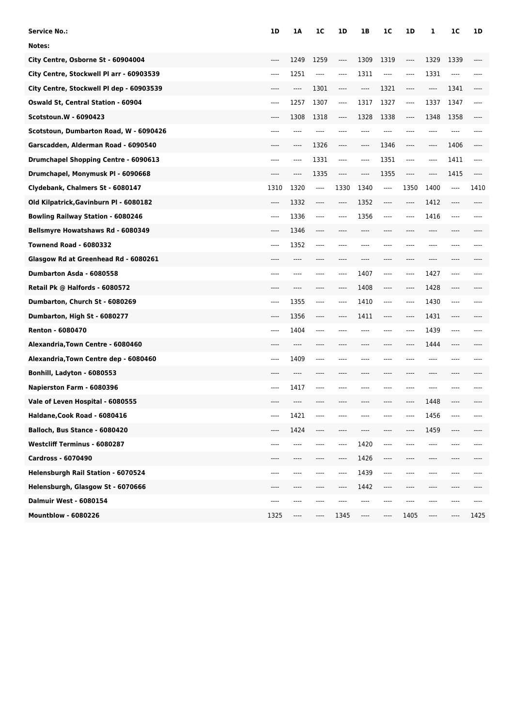| <b>Service No.:</b>                         | 1D    | 1Α   | 1 <sup>C</sup> | 1D   | 1B   | 1C      | 1D      | 1    | 1 <sup>C</sup>                | 1D   |
|---------------------------------------------|-------|------|----------------|------|------|---------|---------|------|-------------------------------|------|
| Notes:                                      |       |      |                |      |      |         |         |      |                               |      |
| City Centre, Osborne St - 60904004          | ----  | 1249 | 1259           | ---- | 1309 | 1319    | ----    | 1329 | 1339                          |      |
| City Centre, Stockwell Pl arr - 60903539    | ----  | 1251 | $---$          | ---- | 1311 | $-----$ | ----    | 1331 | $---$                         |      |
| City Centre, Stockwell Pl dep - 60903539    | ----  | ---- | 1301           | ---- | ---- | 1321    | ----    | ---- | 1341                          |      |
| <b>Oswald St, Central Station - 60904</b>   | $---$ | 1257 | 1307           | ---- | 1317 | 1327    | ----    | 1337 | 1347                          | ---- |
| Scotstoun.W - 6090423                       | ----  | 1308 | 1318           | ---- | 1328 | 1338    | ----    | 1348 | 1358                          |      |
| Scotstoun, Dumbarton Road, W - 6090426      | ----  | ---- | ----           |      |      | ----    | ----    | ---- | ----                          |      |
| Garscadden, Alderman Road - 6090540         | ----  | ---- | 1326           | ---- | ---- | 1346    | ----    | ---- | 1406                          |      |
| <b>Drumchapel Shopping Centre - 6090613</b> | ----  | ---- | 1331           | ---- | ---- | 1351    | $---$   | ---- | 1411                          | ---- |
| Drumchapel, Monymusk PI - 6090668           | ----  | ---- | 1335           | ---- | ---- | 1355    | $-----$ | ---- | 1415                          |      |
| Clydebank, Chalmers St - 6080147            | 1310  | 1320 | ----           | 1330 | 1340 | ----    | 1350    | 1400 | $\hspace{1.5cm} \textbf{---}$ | 1410 |
| Old Kilpatrick, Gavinburn Pl - 6080182      | $---$ | 1332 | $---$          | ---- | 1352 | $---$   | ----    | 1412 | $---$                         | ---- |
| <b>Bowling Railway Station - 6080246</b>    | $---$ | 1336 | $---$          | ---- | 1356 | $---$   | $---$   | 1416 | $-- -$                        |      |
| Bellsmyre Howatshaws Rd - 6080349           | ----  | 1346 | ----           |      |      |         |         | ---- |                               |      |
| <b>Townend Road - 6080332</b>               | $---$ | 1352 | $---$          | ---- |      | $---$   | ----    | ---- | ----                          |      |
| Glasgow Rd at Greenhead Rd - 6080261        | ----  | ---- | ----           | ---- | ---- | $---$   | ----    | ---- | ----                          |      |
| Dumbarton Asda - 6080558                    | ----  | ---- |                | ---- | 1407 | ----    | $---$   | 1427 | $---$                         |      |
| Retail Pk @ Halfords - 6080572              |       |      |                | ---- | 1408 | ----    | ----    | 1428 | ----                          |      |
| Dumbarton, Church St - 6080269              | ----  | 1355 | $---$          | ---- | 1410 | $---$   | ----    | 1430 | ----                          |      |
| Dumbarton, High St - 6080277                | ----  | 1356 | $---$          | ---- | 1411 | $---$   | ----    | 1431 | $\hspace{1.5cm} \textbf{---}$ |      |
| <b>Renton - 6080470</b>                     | ----  | 1404 | $---$          |      |      | $---$   | ----    | 1439 | $---$                         |      |
| Alexandria, Town Centre - 6080460           |       | ---- |                |      |      |         | ----    | 1444 | ----                          |      |
| Alexandria, Town Centre dep - 6080460       | $---$ | 1409 | $---$          | ---- |      | $---$   | ----    | ---- | ----                          |      |
| Bonhill, Ladyton - 6080553                  | ----  | ---- | ----           | ---- |      | $---$   | ----    | ---- | ----                          |      |
| Napierston Farm - 6080396                   | $---$ | 1417 | ----           |      |      |         | ----    | ---- |                               |      |
| Vale of Leven Hospital - 6080555            |       |      |                |      |      |         |         | 1448 |                               |      |
| Haldane, Cook Road - 6080416                |       | 1421 |                |      |      |         |         | 1456 |                               |      |
| Balloch, Bus Stance - 6080420               | ----  | 1424 | ----           | ---- |      |         | ----    | 1459 | ----                          |      |
| <b>Westcliff Terminus - 6080287</b>         | ----  | ---- |                | ---- | 1420 | ----    |         | ---- |                               |      |
| Cardross - 6070490                          |       |      |                | ---- | 1426 | $---$   | ----    |      |                               |      |
| Helensburgh Rail Station - 6070524          | ----  | ---- |                | ---- | 1439 | ----    | ----    | ---- | ----                          |      |
| Helensburgh, Glasgow St - 6070666           | ----  | ---- | ----           | ---- | 1442 | $---$   | ----    | ---- | ----                          |      |
| <b>Dalmuir West - 6080154</b>               | ----  | ---- |                |      |      |         |         |      |                               |      |
| <b>Mountblow - 6080226</b>                  | 1325  | ---- | ----           | 1345 | ---- | ----    | 1405    | ---- |                               | 1425 |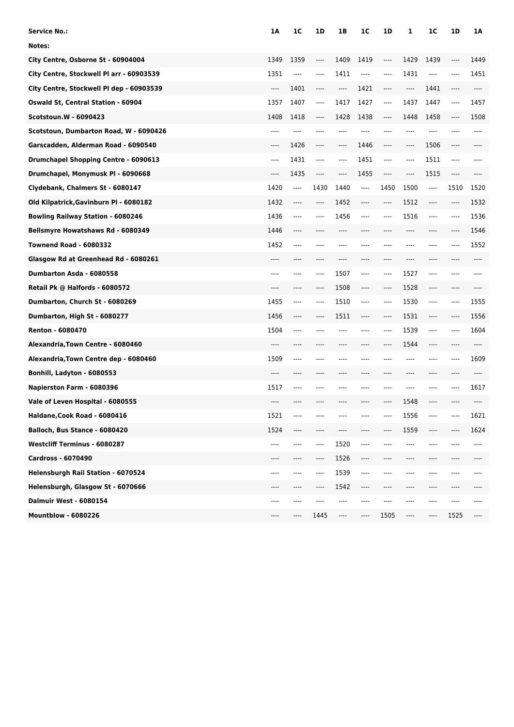| Service No.:                              | 1A    | 1C   | 1D      | 1B    | 1C    | 1D      | 1        | 1C       | 1D    | 1A   |
|-------------------------------------------|-------|------|---------|-------|-------|---------|----------|----------|-------|------|
| Notes:                                    |       |      |         |       |       |         |          |          |       |      |
| City Centre, Osborne St - 60904004        | 1349  | 1359 | $---$   | 1409  | 1419  | $---$   | 1429     | 1439     | $---$ | 1449 |
| City Centre, Stockwell Pl arr - 60903539  | 1351  | ---- | $---$   | 1411  | ----  | $---$   | 1431     | ----     | $---$ | 1451 |
| City Centre, Stockwell Pl dep - 60903539  | $---$ | 1401 | $-----$ | $---$ | 1421  | $-----$ | $\cdots$ | 1441     | $---$ | ---- |
| <b>Oswald St, Central Station - 60904</b> | 1357  | 1407 | $---$   | 1417  | 1427  | $-----$ | 1437     | 1447     | $---$ | 1457 |
| Scotstoun.W - 6090423                     | 1408  | 1418 | $---$   | 1428  | 1438  | $---$   | 1448     | 1458     | $---$ | 1508 |
| Scotstoun, Dumbarton Road, W - 6090426    | ----  | ---- | $---$   | ----  | ----  | $---$   | ----     | ----     | $---$ | ---- |
| Garscadden, Alderman Road - 6090540       | $---$ | 1426 | ----    | ----  | 1446  | $---$   | ----     | 1506     | $---$ |      |
| Drumchapel Shopping Centre - 6090613      | $---$ | 1431 | $---$   | ----  | 1451  | $---$   | $-----$  | 1511     | $---$ | ---- |
| Drumchapel, Monymusk PI - 6090668         | $---$ | 1435 | $---$   | $---$ | 1455  | $---$   | $---$    | 1515     | $---$ |      |
| Clydebank, Chalmers St - 6080147          | 1420  | ---- | 1430    | 1440  | $---$ | 1450    | 1500     | $---$    | 1510  | 1520 |
| Old Kilpatrick, Gavinburn Pl - 6080182    | 1432  | ---- | $---$   | 1452  | ----  | $-----$ | 1512     | ----     | $---$ | 1532 |
| <b>Bowling Railway Station - 6080246</b>  | 1436  | ---- | $---$   | 1456  | ----  | $---$   | 1516     | $---$    | $---$ | 1536 |
| Bellsmyre Howatshaws Rd - 6080349         | 1446  | ---- |         | ----  |       | $---$   | $---$    | ----     | $---$ | 1546 |
| <b>Townend Road - 6080332</b>             | 1452  | ---- | $---$   | ----  | ----  | $---$   | $---$    | ----     | $---$ | 1552 |
| Glasgow Rd at Greenhead Rd - 6080261      | $---$ | ---- | $---$   | ----  | ----  | $---$   | $---$    | ----     | $---$ | ---- |
| Dumbarton Asda - 6080558                  | $---$ | ---- | $---$   | 1507  | ----  | $---$   | 1527     | $---$    | $---$ | ---- |
| Retail Pk @ Halfords - 6080572            | ----  | ---- | $---$   | 1508  | ----  | $---$   | 1528     | $---$    | $---$ |      |
| Dumbarton, Church St - 6080269            | 1455  | ---- | $---$   | 1510  | ----  | $---$   | 1530     | $-----$  | ----  | 1555 |
| Dumbarton, High St - 6080277              | 1456  | ---- | $---$   | 1511  | ----  | $---$   | 1531     | $---$    | $---$ | 1556 |
| <b>Renton - 6080470</b>                   | 1504  | ---- | ----    | ----  | ----  | $---$   | 1539     | $---$    | $---$ | 1604 |
| Alexandria, Town Centre - 6080460         | $---$ | ---- |         |       |       | $---$   | 1544     | ----     | $---$ |      |
| Alexandria, Town Centre dep - 6080460     | 1509  | ---- | $---$   | ----  | ----  | $---$   | $---$    | $---$    | $---$ | 1609 |
| Bonhill, Ladyton - 6080553                | $---$ | ---- | ----    | ----  | ----  | $---$   | $---$    | ----     | $---$ | ---- |
| Napierston Farm - 6080396                 | 1517  | ---- | ----    | ----  | ----  | $---$   | ----     | $-- - -$ | $---$ | 1617 |
| Vale of Leven Hospital - 6080555          | ----  |      |         |       |       | $---$   | 1548     | ----     |       |      |
| Haldane, Cook Road - 6080416              | 1521  | ---- |         |       |       |         | 1556     | ----     |       | 1621 |
| Balloch, Bus Stance - 6080420             | 1524  | ---- | $---$   | ----  |       | ----    | 1559     | ----     | $---$ | 1624 |
| <b>Westcliff Terminus - 6080287</b>       | $---$ | ---- | $---$   | 1520  | ----  | ----    | ----     | $-- - -$ |       | ---- |
| Cardross - 6070490                        | $---$ | ---- | $---$   | 1526  | ----  | $---$   | ----     | ----     | $---$ |      |
| Helensburgh Rail Station - 6070524        | $---$ | ---- | $---$   | 1539  | ----  | ----    | ----     | ----     | $---$ |      |
| Helensburgh, Glasgow St - 6070666         | $---$ | ---- |         | 1542  | ----  | $---$   | $---$    | ----     | $---$ |      |
| <b>Dalmuir West - 6080154</b>             | ----  | ---- | ----    | ----  | ----  | ----    | ----     | ----     | $---$ |      |
| <b>Mountblow - 6080226</b>                | ----  | ---- | 1445    | ----  | ----  | 1505    | ----     | ----     | 1525  |      |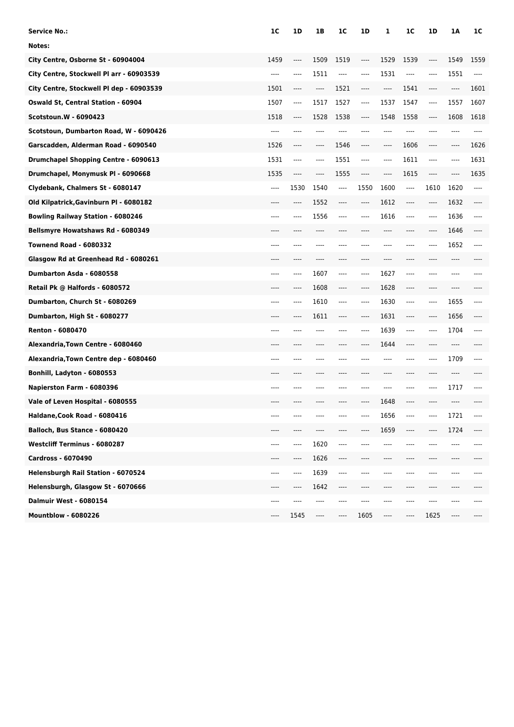| Service No.:                              | 1C                            | 1D   | 1B                                           | 1C                            | 1D      | 1       | 1 <sup>C</sup> | 1D   | 1A    | 1C       |
|-------------------------------------------|-------------------------------|------|----------------------------------------------|-------------------------------|---------|---------|----------------|------|-------|----------|
| Notes:                                    |                               |      |                                              |                               |         |         |                |      |       |          |
| City Centre, Osborne St - 60904004        | 1459                          | ---- | 1509                                         | 1519                          | ----    | 1529    | 1539           | ---- | 1549  | 1559     |
| City Centre, Stockwell Pl arr - 60903539  | $---$                         | ---- | 1511                                         | ----                          | ----    | 1531    | $---$          | ---- | 1551  | $\cdots$ |
| City Centre, Stockwell PI dep - 60903539  | 1501                          | ---- | $-----$                                      | 1521                          | ----    | $---$   | 1541           | ---- | ----  | 1601     |
| <b>Oswald St, Central Station - 60904</b> | 1507                          | ---- | 1517                                         | 1527                          | $-----$ | 1537    | 1547           | ---- | 1557  | 1607     |
| <b>Scotstoun.W - 6090423</b>              | 1518                          | ---- | 1528                                         | 1538                          | ----    | 1548    | 1558           | ---- | 1608  | 1618     |
| Scotstoun, Dumbarton Road, W - 6090426    | $---$                         | ---- |                                              |                               |         | ----    | ----           | ---- | ----  | ----     |
| Garscadden, Alderman Road - 6090540       | 1526                          | ---- | $\hspace{1.5cm} \textbf{---} \hspace{1.5cm}$ | 1546                          | ----    | $-----$ | 1606           | ---- | ----  | 1626     |
| Drumchapel Shopping Centre - 6090613      | 1531                          | ---- | ----                                         | 1551                          | ----    | $---$   | 1611           | ---- | ----  | 1631     |
| Drumchapel, Monymusk PI - 6090668         | 1535                          | ---- | ----                                         | 1555                          | ----    | $-----$ | 1615           | ---- |       | 1635     |
| Clydebank, Chalmers St - 6080147          | $\hspace{1.5cm} \textbf{---}$ | 1530 | 1540                                         | $\hspace{1.5cm} \textbf{---}$ | 1550    | 1600    | ----           | 1610 | 1620  | ----     |
| Old Kilpatrick, Gavinburn Pl - 6080182    | ----                          | ---- | 1552                                         | ----                          | ----    | 1612    | ----           | ---- | 1632  | ----     |
| <b>Bowling Railway Station - 6080246</b>  | ----                          | ---- | 1556                                         | ----                          | ----    | 1616    | $---$          | ---- | 1636  | ----     |
| Bellsmyre Howatshaws Rd - 6080349         |                               |      |                                              |                               |         |         |                |      | 1646  |          |
| <b>Townend Road - 6080332</b>             | $---$                         | ---- |                                              |                               |         | ----    | ----           | ---- | 1652  | ----     |
| Glasgow Rd at Greenhead Rd - 6080261      | ----                          | ---- | ----                                         | ----                          | ----    | ----    | ----           | ---- | ----  |          |
| Dumbarton Asda - 6080558                  | $---$                         | ---- | 1607                                         | ----                          | ----    | 1627    | ----           |      |       |          |
| Retail Pk @ Halfords - 6080572            |                               | ---- | 1608                                         | ----                          | ----    | 1628    | ----           | ---- |       |          |
| Dumbarton, Church St - 6080269            | ----                          | ---- | 1610                                         | ----                          | ----    | 1630    | $---$          | ---- | 1655  |          |
| Dumbarton, High St - 6080277              | ----                          | ---- | 1611                                         | ----                          | ----    | 1631    | ----           | ---- | 1656  |          |
| <b>Renton - 6080470</b>                   | ----                          |      |                                              | ----                          | ----    | 1639    | ----           | ---- | 1704  | ----     |
| Alexandria, Town Centre - 6080460         |                               |      |                                              |                               |         | 1644    | ----           |      | ----  |          |
| Alexandria, Town Centre dep - 6080460     | $---$                         |      |                                              |                               |         | ----    | ----           | ---- | 1709  | ----     |
| Bonhill, Ladyton - 6080553                | ----                          | ---- | ----                                         | ----                          |         | ----    | ----           | ---- | ----  |          |
| Napierston Farm - 6080396                 | $---$                         | ---- |                                              |                               |         |         | ----           | ---- | 1717  |          |
| Vale of Leven Hospital - 6080555          |                               |      |                                              |                               |         | 1648    | ----           |      |       |          |
| Haldane, Cook Road - 6080416              |                               |      |                                              |                               |         | 1656    |                |      | 1721  | ----     |
| Balloch, Bus Stance - 6080420             | ----                          | ---- | ----                                         | ----                          |         | 1659    | ----           | ---- | 1724  | ----     |
| <b>Westcliff Terminus - 6080287</b>       | ----                          | ---- | 1620                                         | ----                          |         | ----    | ----           |      | ----  | ----     |
| Cardross - 6070490                        | ----                          | ---- | 1626                                         | ----                          |         |         |                |      |       |          |
| Helensburgh Rail Station - 6070524        | ----                          | ---- | 1639                                         | ----                          |         |         | ----           | ---- | ----  |          |
| Helensburgh, Glasgow St - 6070666         | ----                          | ---- | 1642                                         | ----                          | ----    | ----    | ----           | ---- | ----  |          |
| <b>Dalmuir West - 6080154</b>             | ----                          | ---- | ----                                         | ----                          |         |         | ----           |      |       |          |
| <b>Mountblow - 6080226</b>                | ----                          | 1545 | $\hspace{1.5cm} \textbf{---}$                | ----                          | 1605    | $---$   | ----           | 1625 | $---$ |          |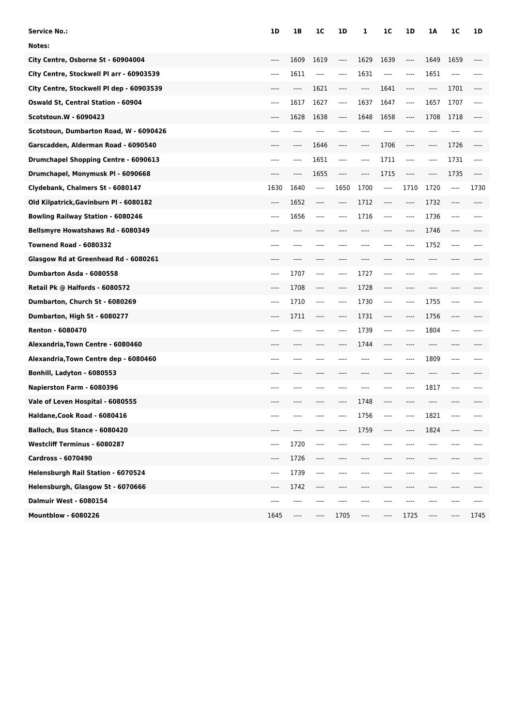| <b>Service No.:</b>                      | 1D                                                   | 1B    | 1C                            | 1D       | 1       | 1 <sup>C</sup> | 1D                            | 1Α                            | 1C    | 1D    |
|------------------------------------------|------------------------------------------------------|-------|-------------------------------|----------|---------|----------------|-------------------------------|-------------------------------|-------|-------|
| Notes:                                   |                                                      |       |                               |          |         |                |                               |                               |       |       |
| City Centre, Osborne St - 60904004       | $---$                                                | 1609  | 1619                          | ----     | 1629    | 1639           | ----                          | 1649                          | 1659  |       |
| City Centre, Stockwell Pl arr - 60903539 | $---$                                                | 1611  | $---$                         | $---$    | 1631    | $---$          | $---$                         | 1651                          | $---$ |       |
| City Centre, Stockwell PI dep - 60903539 | $---$                                                | ----  | 1621                          | ----     | $-----$ | 1641           | $-----$                       | ----                          | 1701  | ----  |
| Oswald St, Central Station - 60904       | ----                                                 | 1617  | 1627                          | ----     | 1637    | 1647           | ----                          | 1657                          | 1707  | ----  |
| <b>Scotstoun.W - 6090423</b>             | $---$                                                | 1628  | 1638                          | $---$    | 1648    | 1658           | $\cdots$                      | 1708                          | 1718  |       |
| Scotstoun, Dumbarton Road, W - 6090426   | $---$                                                | ----  | ----                          | $---$    | ----    | ----           | ----                          | ----                          | ----  |       |
| Garscadden, Alderman Road - 6090540      | $---$                                                | ----  | 1646                          | ----     | ----    | 1706           | $\hspace{1.5cm} \textbf{---}$ | ----                          | 1726  | ----  |
| Drumchapel Shopping Centre - 6090613     | $---$                                                | ----  | 1651                          | $\cdots$ | ----    | 1711           | $---$                         | ----                          | 1731  | ----  |
| Drumchapel, Monymusk PI - 6090668        | $---$                                                | ----  | 1655                          | $---$    | $---$   | 1715           | $---$                         | ----                          | 1735  | ----  |
| Clydebank, Chalmers St - 6080147         | 1630                                                 | 1640  | ----                          | 1650     | 1700    | ----           | 1710                          | 1720                          | ----  | 1730  |
| Old Kilpatrick, Gavinburn Pl - 6080182   | $---$                                                | 1652  | $---$                         | ----     | 1712    | $---$          | $---$                         | 1732                          | ----  | $---$ |
| <b>Bowling Railway Station - 6080246</b> | $---$                                                | 1656  | $---$                         | $---$    | 1716    | $---$          | $---$                         | 1736                          | $---$ | ----  |
| Bellsmyre Howatshaws Rd - 6080349        | ----                                                 | $---$ | ----                          |          |         | ----           | ----                          | 1746                          | ----  |       |
| <b>Townend Road - 6080332</b>            | $---$                                                | ----  | $---$                         | $---$    | ----    | $---$          | ----                          | 1752                          | $---$ |       |
| Glasgow Rd at Greenhead Rd - 6080261     | $---$                                                | ----  | ----                          | ----     | ----    | ----           | ----                          | ----                          | ----  |       |
| Dumbarton Asda - 6080558                 | $---$                                                | 1707  | $---$                         | $---$    | 1727    | $---$          | ----                          | ----                          | ----  |       |
| Retail Pk @ Halfords - 6080572           | $---$                                                | 1708  | $---$                         | $---$    | 1728    | $---$          | ----                          | ----                          | ----  |       |
| Dumbarton, Church St - 6080269           | $---$                                                | 1710  | $---$                         | $-----$  | 1730    | $---$          | $---$                         | 1755                          | $---$ |       |
| Dumbarton, High St - 6080277             | $---$                                                | 1711  | $---$                         | $---$    | 1731    | $---$          | $---$                         | 1756                          | $---$ |       |
| <b>Renton - 6080470</b>                  | $---$                                                | ----  | ----                          | $---$    | 1739    | $---$          | $---$                         | 1804                          | $---$ |       |
| Alexandria, Town Centre - 6080460        | ----                                                 | ----  | ----                          | $---$    | 1744    | $---$          | ----                          | ----                          | ----  |       |
| Alexandria, Town Centre dep - 6080460    | $---$                                                | ----  | ----                          | ----     | ----    | $---$          | $---$                         | 1809                          | $---$ |       |
| Bonhill, Ladyton - 6080553               | $---$                                                | ----  | ----                          | $---$    | ----    | $---$          | ----                          | ----                          | ----  |       |
| Napierston Farm - 6080396                | $---$                                                | ----  | ----                          | $---$    |         | ----           | ----                          | 1817                          | $---$ |       |
| Vale of Leven Hospital - 6080555         | $---$                                                |       |                               | ----     | 1748    | $---$          | ----                          |                               |       |       |
| Haldane, Cook Road - 6080416             | $---$                                                |       |                               |          | 1756    | $---$          | ----                          | 1821                          | ----  | ----  |
| Balloch, Bus Stance - 6080420            | $---$                                                | ----  | ----                          | ----     | 1759    | $-----$        | ----                          | 1824                          | $---$ | ----  |
| <b>Westcliff Terminus - 6080287</b>      | $\hspace{1.5cm} \textbf{---}$                        | 1720  | $\hspace{1.5cm} \textbf{---}$ | ----     | ----    | ----           | ----                          | ----                          | ----  | ----  |
| Cardross - 6070490                       | $\hspace{0.05cm}\rule{0.7pt}{0.1ex}\hspace{0.025cm}$ | 1726  | $---$                         | ----     |         | ----           | ----                          | ----                          | ----  |       |
| Helensburgh Rail Station - 6070524       | $-----$                                              | 1739  | $---$                         | ----     |         | ----           | ----                          | ----                          | ----  |       |
| Helensburgh, Glasgow St - 6070666        | $\hspace{1.5cm} \textbf{---}$                        | 1742  | $\hspace{1.5cm} \textbf{---}$ | ----     | ----    | $---$          | ----                          | ----                          | ----  |       |
| <b>Dalmuir West - 6080154</b>            | $---$                                                | ----  | ----                          | ----     | ----    | ----           | ----                          | ----                          | ----  | ----  |
| <b>Mountblow - 6080226</b>               | 1645                                                 | ----  | $-----$                       | 1705     | ----    | $-----$        | 1725                          | $\hspace{1.5cm} \textbf{---}$ | ----  | 1745  |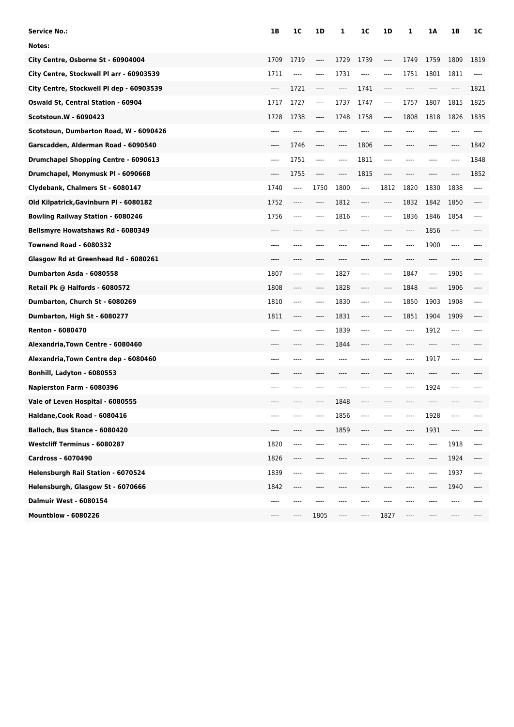| Service No.:                                | 1B                    | 1C   | 1D    | 1       | 1C                            | 1D      | 1    | 1Α      | 1B    | 1C                    |
|---------------------------------------------|-----------------------|------|-------|---------|-------------------------------|---------|------|---------|-------|-----------------------|
| Notes:                                      |                       |      |       |         |                               |         |      |         |       |                       |
| City Centre, Osborne St - 60904004          | 1709                  | 1719 | ----  | 1729    | 1739                          | ----    | 1749 | 1759    | 1809  | 1819                  |
| City Centre, Stockwell Pl arr - 60903539    | 1711                  | ---- | $---$ | 1731    | ----                          | $-----$ | 1751 | 1801    | 1811  | ----                  |
| City Centre, Stockwell PI dep - 60903539    | $\qquad \qquad - - -$ | 1721 | $---$ | $-----$ | 1741                          | $---$   | ---- | ----    | ----  | 1821                  |
| <b>Oswald St, Central Station - 60904</b>   | 1717                  | 1727 | $---$ | 1737    | 1747                          | $-----$ | 1757 | 1807    | 1815  | 1825                  |
| <b>Scotstoun.W - 6090423</b>                | 1728                  | 1738 | ----  | 1748    | 1758                          | $---$   | 1808 | 1818    | 1826  | 1835                  |
| Scotstoun, Dumbarton Road, W - 6090426      | $---$                 | ---- |       |         |                               | ----    |      |         |       | ----                  |
| Garscadden, Alderman Road - 6090540         | $---$                 | 1746 | $---$ | ----    | 1806                          | $-----$ | ---- | ----    | ----  | 1842                  |
| <b>Drumchapel Shopping Centre - 6090613</b> | $---$                 | 1751 | $---$ | ----    | 1811                          | ----    | ---- | ----    |       | 1848                  |
| Drumchapel, Monymusk PI - 6090668           | $-----$               | 1755 | $---$ | ----    | 1815                          | $---$   | ---- | ----    |       | 1852                  |
| Clydebank, Chalmers St - 6080147            | 1740                  | ---- | 1750  | 1800    | $\hspace{1.5cm} \textbf{---}$ | 1812    | 1820 | 1830    | 1838  | ----                  |
| Old Kilpatrick, Gavinburn Pl - 6080182      | 1752                  | ---- | ----  | 1812    | ----                          | ----    | 1832 | 1842    | 1850  | ----                  |
| <b>Bowling Railway Station - 6080246</b>    | 1756                  | ---- | ----  | 1816    | ----                          | $---$   | 1836 | 1846    | 1854  | ----                  |
| Bellsmyre Howatshaws Rd - 6080349           |                       |      |       |         |                               |         | ---- | 1856    | ----  |                       |
| <b>Townend Road - 6080332</b>               | $---$                 | ---- |       |         |                               | ----    | ---- | 1900    | $---$ |                       |
| Glasgow Rd at Greenhead Rd - 6080261        | $---$                 | ---- | ----  | ----    |                               | ----    | ---- | ----    | ----  |                       |
| Dumbarton Asda - 6080558                    | 1807                  | ---- | ----  | 1827    | ----                          | ----    | 1847 | ----    | 1905  | ----                  |
| Retail Pk @ Halfords - 6080572              | 1808                  | ---- | ----  | 1828    | ----                          | ----    | 1848 | $-----$ | 1906  |                       |
| Dumbarton, Church St - 6080269              | 1810                  | ---- | ----  | 1830    | ----                          | $---$   | 1850 | 1903    | 1908  |                       |
| Dumbarton, High St - 6080277                | 1811                  | ---- | ----  | 1831    | ----                          | ----    | 1851 | 1904    | 1909  |                       |
| <b>Renton - 6080470</b>                     | $---$                 | ---- | ----  | 1839    | ----                          |         | ---- | 1912    | ----  |                       |
| Alexandria, Town Centre - 6080460           |                       |      |       | 1844    |                               |         |      |         |       |                       |
| Alexandria, Town Centre dep - 6080460       | ----                  | ---- |       |         |                               |         | ---- | 1917    | ----  |                       |
| Bonhill, Ladyton - 6080553                  | ----                  | ---- |       | ----    |                               | ----    | ---- | ----    | ----  |                       |
| Napierston Farm - 6080396                   | $---$                 | ---- |       |         |                               |         | ---- | 1924    | ----  |                       |
| Vale of Leven Hospital - 6080555            |                       |      |       | 1848    |                               |         |      |         |       |                       |
| Haldane, Cook Road - 6080416                |                       |      |       | 1856    |                               |         |      | 1928    |       |                       |
| Balloch, Bus Stance - 6080420               | ----                  | ---- |       | 1859    |                               |         | ---- | 1931    | ----  | ----                  |
| <b>Westcliff Terminus - 6080287</b>         | 1820                  | ---- |       | ----    |                               |         |      | ----    | 1918  | ----                  |
| Cardross - 6070490                          | 1826                  | ---- |       |         |                               |         |      |         | 1924  | ----                  |
| Helensburgh Rail Station - 6070524          | 1839                  | ---- | ----  | ----    |                               |         | ---- | ----    | 1937  | $\qquad \qquad - - -$ |
| Helensburgh, Glasgow St - 6070666           | 1842                  | ---- | ----  | ----    | ----                          | ----    | ---- | ----    | 1940  | ----                  |
| <b>Dalmuir West - 6080154</b>               | ----                  | ---- | ----  |         |                               |         |      | ----    | ----  |                       |
| <b>Mountblow - 6080226</b>                  |                       | ---- | 1805  | ----    | ----                          | 1827    | ---- |         |       |                       |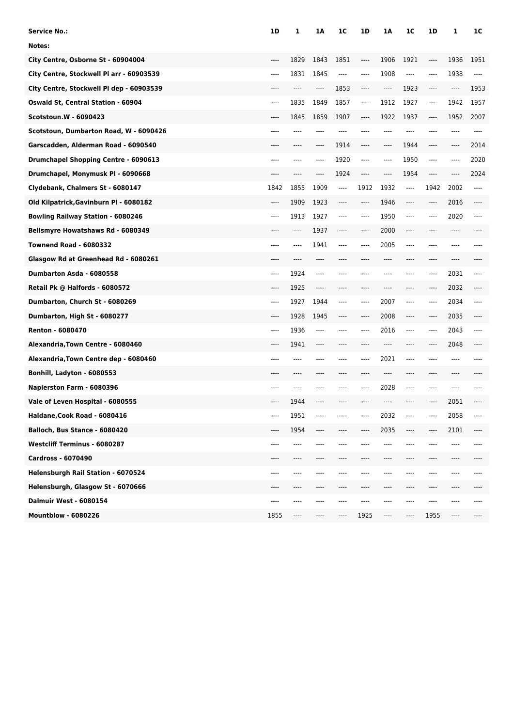| <b>Service No.:</b>                       | <b>1D</b> | 1     | 1A    | 1C    | 1D                            | 1Α   | 1C                            | 1D                                                   | 1    | 1C      |
|-------------------------------------------|-----------|-------|-------|-------|-------------------------------|------|-------------------------------|------------------------------------------------------|------|---------|
| Notes:                                    |           |       |       |       |                               |      |                               |                                                      |      |         |
| City Centre, Osborne St - 60904004        | $---$     | 1829  | 1843  | 1851  | $---$                         | 1906 | 1921                          | ----                                                 | 1936 | 1951    |
| City Centre, Stockwell PI arr - 60903539  | $---$     | 1831  | 1845  | ----  | $-----$                       | 1908 | ----                          | ----                                                 | 1938 | $-----$ |
| City Centre, Stockwell Pl dep - 60903539  | ----      | ----  | ----  | 1853  | ----                          | ---- | 1923                          | ----                                                 | ---- | 1953    |
| <b>Oswald St, Central Station - 60904</b> | $---$     | 1835  | 1849  | 1857  | $\hspace{1.5cm} \textbf{---}$ | 1912 | 1927                          | $\hspace{1.5cm} \textbf{---}$                        | 1942 | 1957    |
| <b>Scotstoun.W - 6090423</b>              | ----      | 1845  | 1859  | 1907  | $\hspace{1.5cm} \textbf{---}$ | 1922 | 1937                          | $\hspace{1.5cm} \textbf{---}$                        | 1952 | 2007    |
| Scotstoun, Dumbarton Road, W - 6090426    | ----      |       |       |       |                               |      | ----                          | $---$                                                | ---- | ----    |
| Garscadden, Alderman Road - 6090540       | ----      | ----  | ----  | 1914  | ----                          | ---- | 1944                          | $---$                                                | ---- | 2014    |
| Drumchapel Shopping Centre - 6090613      | $---$     |       | ----  | 1920  | ----                          | ---- | 1950                          | $---$                                                | ---- | 2020    |
| Drumchapel, Monymusk PI - 6090668         |           |       | ----  | 1924  | $---$                         | ---- | 1954                          | $\hspace{0.05cm}\rule{0.7pt}{0.1ex}\hspace{0.025cm}$ | ---- | 2024    |
| Clydebank, Chalmers St - 6080147          | 1842      | 1855  | 1909  | $---$ | 1912                          | 1932 | $\hspace{1.5cm} \textbf{---}$ | 1942                                                 | 2002 | ----    |
| Old Kilpatrick, Gavinburn Pl - 6080182    | ----      | 1909  | 1923  | ----  | $---$                         | 1946 | ----                          | $\hspace{0.05cm}\rule{0.7pt}{0.1ex}\hspace{0.025cm}$ | 2016 | ----    |
| <b>Bowling Railway Station - 6080246</b>  | $---$     | 1913  | 1927  | ----  | $---$                         | 1950 | ----                          | ----                                                 | 2020 | ----    |
| Bellsmyre Howatshaws Rd - 6080349         |           | ----  | 1937  | ----  | ----                          | 2000 | ----                          |                                                      | ---- |         |
| <b>Townend Road - 6080332</b>             | $---$     | $---$ | 1941  | ----  | $---$                         | 2005 | ----                          | $---$                                                | ---- |         |
| Glasgow Rd at Greenhead Rd - 6080261      | ----      | $---$ | ----  | ----  |                               | ---- | ----                          | $---$                                                | ---- |         |
| Dumbarton Asda - 6080558                  | $---$     | 1924  | $---$ | ----  |                               |      | ----                          | ----                                                 | 2031 | ----    |
| Retail Pk @ Halfords - 6080572            | $---$     | 1925  | ----  | ----  |                               |      | ----                          | ----                                                 | 2032 |         |
| Dumbarton, Church St - 6080269            | $---$     | 1927  | 1944  | ----  | $---$                         | 2007 | ----                          | $---$                                                | 2034 | ----    |
| Dumbarton, High St - 6080277              | $---$     | 1928  | 1945  | ----  | $\hspace{1.5cm} \textbf{---}$ | 2008 | ----                          | $\hspace{1.5cm} \textbf{---}$                        | 2035 | ----    |
| <b>Renton - 6080470</b>                   | $---$     | 1936  | ----  | ----  | ----                          | 2016 | ----                          | ----                                                 | 2043 | ----    |
| Alexandria, Town Centre - 6080460         | ----      | 1941  | ----  |       |                               |      |                               | ----                                                 | 2048 |         |
| Alexandria, Town Centre dep - 6080460     | ----      | ----  | ----  | ----  | $---$                         | 2021 | $---$                         | $---$                                                | ---- |         |
| Bonhill, Ladyton - 6080553                | ----      | ----  | ----  | ----  |                               | ---- | ----                          | $---$                                                | ---- |         |
| Napierston Farm - 6080396                 | ----      |       |       |       |                               | 2028 | ----                          | $---$                                                |      |         |
| Vale of Leven Hospital - 6080555          | ----      | 1944  | ----  |       |                               |      |                               |                                                      | 2051 |         |
| Haldane, Cook Road - 6080416              | ----      | 1951  |       |       |                               | 2032 | ----                          |                                                      | 2058 | ----    |
| Balloch, Bus Stance - 6080420             | ----      | 1954  | ----  | ----  |                               | 2035 | ----                          | ----                                                 | 2101 | ----    |
| <b>Westcliff Terminus - 6080287</b>       | ----      | ----  |       |       |                               |      | ----                          |                                                      | ---- | ----    |
| <b>Cardross - 6070490</b>                 | ----      |       |       |       |                               |      |                               |                                                      |      |         |
| Helensburgh Rail Station - 6070524        | ----      | ----  | ----  | ----  |                               |      | ---                           |                                                      | ---- | ----    |
| Helensburgh, Glasgow St - 6070666         | ----      | ----  | ----  | ----  | ----                          | ---- | ----                          | ----                                                 | ---- |         |
| <b>Dalmuir West - 6080154</b>             | ----      | ----  |       |       |                               |      | ---                           |                                                      |      |         |
| <b>Mountblow - 6080226</b>                | 1855      | ----  | ----  |       | 1925                          | ---- | ----                          | 1955                                                 | ---- |         |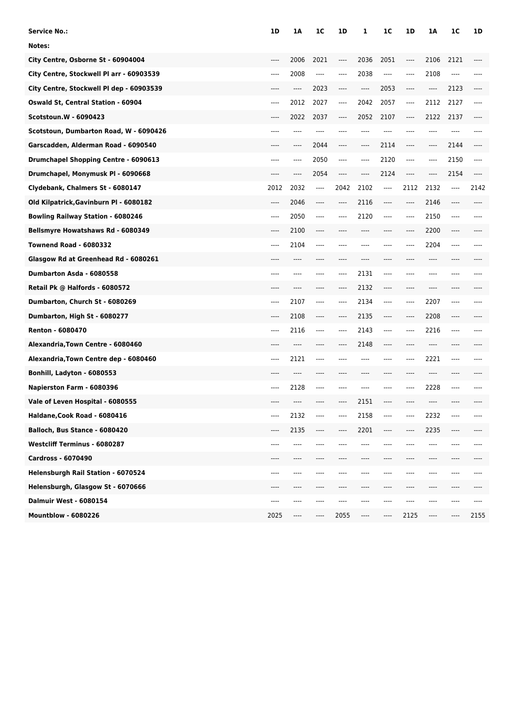| Service No.:                              | 1D    | 1A   | 1C                       | 1D    | 1                             | 1 <sup>C</sup>                | 1D    | 1Α                            | 1C    | 1D   |
|-------------------------------------------|-------|------|--------------------------|-------|-------------------------------|-------------------------------|-------|-------------------------------|-------|------|
| Notes:                                    |       |      |                          |       |                               |                               |       |                               |       |      |
| City Centre, Osborne St - 60904004        | $---$ | 2006 | 2021                     | ----  | 2036                          | 2051                          | ----  | 2106                          | 2121  |      |
| City Centre, Stockwell Pl arr - 60903539  | $---$ | 2008 | $\overline{\phantom{a}}$ | ----  | 2038                          | $\hspace{1.5cm} \textbf{---}$ | ----  | 2108                          | $---$ |      |
| City Centre, Stockwell PI dep - 60903539  | ----  | ---- | 2023                     | ----  | $\hspace{1.5cm} \textbf{---}$ | 2053                          | ----  | $\hspace{1.5cm} \textbf{---}$ | 2123  |      |
| <b>Oswald St, Central Station - 60904</b> | $---$ | 2012 | 2027                     | ----  | 2042                          | 2057                          | ----  | 2112                          | 2127  | ---- |
| <b>Scotstoun.W - 6090423</b>              | $---$ | 2022 | 2037                     | ----  | 2052                          | 2107                          | ----  | 2122                          | 2137  |      |
| Scotstoun, Dumbarton Road, W - 6090426    | ----  |      | ----                     |       |                               | ----                          | ----  |                               | ----  |      |
| Garscadden, Alderman Road - 6090540       | ----  | ---- | 2044                     | ----  | ----                          | 2114                          | ----  | ----                          | 2144  |      |
| Drumchapel Shopping Centre - 6090613      | ----  | ---- | 2050                     | ----  | ----                          | 2120                          | ----  | ----                          | 2150  | ---- |
| Drumchapel, Monymusk PI - 6090668         | ----  | ---- | 2054                     | ----  | ----                          | 2124                          | ----  | ----                          | 2154  |      |
| Clydebank, Chalmers St - 6080147          | 2012  | 2032 | ----                     | 2042  | 2102                          | ----                          | 2112  | 2132                          | ----  | 2142 |
| Old Kilpatrick, Gavinburn Pl - 6080182    | $---$ | 2046 | $---$                    | ----  | 2116                          | $-----$                       | ----  | 2146                          | ----  |      |
| <b>Bowling Railway Station - 6080246</b>  | $---$ | 2050 | $---$                    | $---$ | 2120                          | $---$                         | $---$ | 2150                          | ----  |      |
| Bellsmyre Howatshaws Rd - 6080349         | $---$ | 2100 | ----                     |       |                               |                               | ----  | 2200                          |       |      |
| <b>Townend Road - 6080332</b>             | $---$ | 2104 | $---$                    | ----  |                               | ----                          | ----  | 2204                          | $---$ |      |
| Glasgow Rd at Greenhead Rd - 6080261      | ----  | ---- | ----                     | ----  | ----                          | ----                          | ----  | ----                          | ----  |      |
| Dumbarton Asda - 6080558                  | $---$ | ---- |                          | ----  | 2131                          | $---$                         | ----  | ----                          |       |      |
| Retail Pk @ Halfords - 6080572            |       |      |                          | $---$ | 2132                          | $---$                         | ----  | ----                          |       |      |
| Dumbarton, Church St - 6080269            | $---$ | 2107 | $---$                    | ----  | 2134                          | $-----$                       | $---$ | 2207                          | ----  |      |
| Dumbarton, High St - 6080277              | $---$ | 2108 | $---$                    | ----  | 2135                          | $---$                         | ----  | 2208                          | ----  |      |
| <b>Renton - 6080470</b>                   | $---$ | 2116 | $---$                    | ----  | 2143                          | $---$                         | ----  | 2216                          | ----  |      |
| Alexandria, Town Centre - 6080460         | ----  |      |                          | ----  | 2148                          | $---$                         | ----  |                               |       |      |
| Alexandria, Town Centre dep - 6080460     | $---$ | 2121 | $---$                    | ----  |                               | ----                          | ----  | 2221                          | ----  |      |
| Bonhill, Ladyton - 6080553                | ----  | ---- | ----                     | ----  |                               | ----                          | ----  | ----                          | ----  |      |
| Napierston Farm - 6080396                 | $---$ | 2128 | $---$                    |       |                               |                               | ----  | 2228                          | ----  |      |
| Vale of Leven Hospital - 6080555          |       |      |                          |       | 2151                          | ----                          |       |                               |       |      |
| Haldane, Cook Road - 6080416              | ----  | 2132 |                          |       | 2158                          |                               |       | 2232                          |       |      |
| Balloch, Bus Stance - 6080420             | ----  | 2135 | $---$                    | ----  | 2201                          | ----                          | ----  | 2235                          | $---$ |      |
| <b>Westcliff Terminus - 6080287</b>       | ----  | ---- |                          |       |                               |                               |       | ----                          | ----  |      |
| Cardross - 6070490                        | ----  |      |                          |       |                               |                               |       |                               |       |      |
| Helensburgh Rail Station - 6070524        | $---$ | ---- | ----                     |       |                               |                               | ---   | ----                          | ----  |      |
| Helensburgh, Glasgow St - 6070666         | ----  | ---- | ----                     | ----  | ----                          | ----                          | ----  | ----                          | ----  |      |
| <b>Dalmuir West - 6080154</b>             | ----  | ---- | ----                     | ----  |                               | ----                          | ----  | ----                          | ----  |      |
| <b>Mountblow - 6080226</b>                | 2025  | ---- | ----                     | 2055  | ----                          | ----                          | 2125  | ----                          |       | 2155 |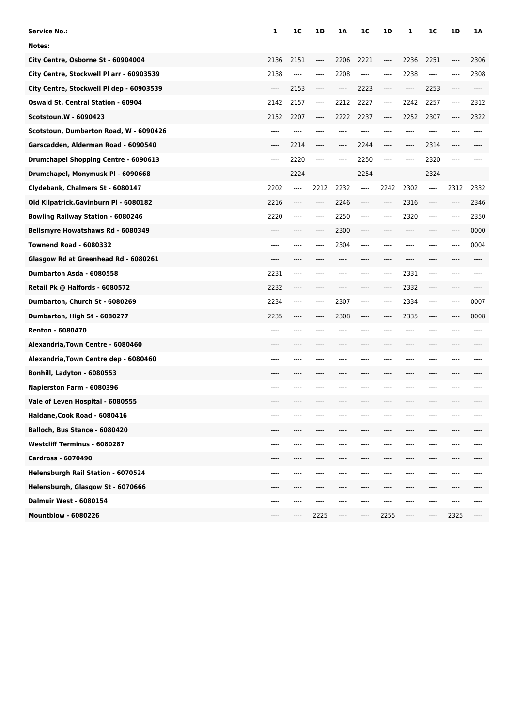| Service No.:                             | 1     | 1C   | 1D      | 1A    | 1C    | 1D                            | 1        | 1C      | 1D    | 1A   |
|------------------------------------------|-------|------|---------|-------|-------|-------------------------------|----------|---------|-------|------|
| Notes:                                   |       |      |         |       |       |                               |          |         |       |      |
| City Centre, Osborne St - 60904004       | 2136  | 2151 | $---$   | 2206  | 2221  | $---$                         | 2236     | 2251    | $---$ | 2306 |
| City Centre, Stockwell PI arr - 60903539 | 2138  | ---- | $---$   | 2208  | ----  | $---$                         | 2238     | ----    | $---$ | 2308 |
| City Centre, Stockwell Pl dep - 60903539 | $---$ | 2153 | $-----$ | $---$ | 2223  | $-----$                       | $\cdots$ | 2253    | ----  | ---- |
| Oswald St, Central Station - 60904       | 2142  | 2157 | $---$   | 2212  | 2227  | $-----$                       | 2242     | 2257    | $---$ | 2312 |
| Scotstoun.W - 6090423                    | 2152  | 2207 | $---$   | 2222  | 2237  | $-----$                       | 2252     | 2307    | $---$ | 2322 |
| Scotstoun, Dumbarton Road, W - 6090426   | ----  | ---- | ----    | ----  | ----  | $---$                         | $---$    | $---$   | ----  | ---- |
| Garscadden, Alderman Road - 6090540      | $---$ | 2214 | $---$   | ----  | 2244  | $---$                         | $---$    | 2314    | $---$ |      |
| Drumchapel Shopping Centre - 6090613     | $---$ | 2220 | $---$   | ----  | 2250  | $---$                         | $-----$  | 2320    | $---$ | ---- |
| Drumchapel, Monymusk PI - 6090668        | $---$ | 2224 | $---$   | $---$ | 2254  | $---$                         | $---$    | 2324    | $---$ |      |
| Clydebank, Chalmers St - 6080147         | 2202  | ---- | 2212    | 2232  | $---$ | 2242                          | 2302     | $---$   | 2312  | 2332 |
| Old Kilpatrick, Gavinburn Pl - 6080182   | 2216  | ---- | $---$   | 2246  | ----  | $\hspace{1.5cm} \textbf{---}$ | 2316     | ----    | $---$ | 2346 |
| <b>Bowling Railway Station - 6080246</b> | 2220  | ---- | $---$   | 2250  | $---$ | $---$                         | 2320     | $---$   | $---$ | 2350 |
| Bellsmyre Howatshaws Rd - 6080349        | ----  | ---- | $---$   | 2300  | ----  | $---$                         | $---$    | ----    | $---$ | 0000 |
| <b>Townend Road - 6080332</b>            | $---$ | ---- | $---$   | 2304  | ----  | $---$                         | $---$    | $---$   | $---$ | 0004 |
| Glasgow Rd at Greenhead Rd - 6080261     | ----  | ---- |         | ----  | ----  | $---$                         | $---$    | ----    | $---$ |      |
| Dumbarton Asda - 6080558                 | 2231  | ---- | ----    | ----  | ----  | $---$                         | 2331     | ----    | $---$ |      |
| Retail Pk @ Halfords - 6080572           | 2232  | ---- | ----    | ----  | ----  | $---$                         | 2332     | $---$   | $---$ |      |
| Dumbarton, Church St - 6080269           | 2234  | ---- | $---$   | 2307  | ----  | $---$                         | 2334     | $-----$ | $---$ | 0007 |
| Dumbarton, High St - 6080277             | 2235  | ---- | ----    | 2308  | ----  | $---$                         | 2335     | $---$   | $---$ | 0008 |
| <b>Renton - 6080470</b>                  | $---$ | ---- | ----    | ----  | ----  | $---$                         | $---$    | ----    | ----  |      |
| Alexandria, Town Centre - 6080460        | ----  |      |         |       |       |                               | ----     | ----    |       |      |
| Alexandria, Town Centre dep - 6080460    | $---$ | ---- | ----    | ----  | ----  | $---$                         | $---$    | ----    | $---$ |      |
| Bonhill, Ladyton - 6080553               | ----  |      |         |       |       | $---$                         | $---$    | ----    | $---$ |      |
| Napierston Farm - 6080396                | $---$ | ---- | ----    |       |       | $---$                         | $---$    | ----    | ----  |      |
| Vale of Leven Hospital - 6080555         | ----  |      |         |       |       |                               |          |         |       |      |
| Haldane, Cook Road - 6080416             | ----  |      |         |       |       |                               |          |         |       |      |
| Balloch, Bus Stance - 6080420            | $---$ |      | ----    | ----  |       |                               | $---$    | ----    | $---$ |      |
| <b>Westcliff Terminus - 6080287</b>      | $---$ | ---- | ----    | ----  | ----  |                               | ----     | ----    | ----  |      |
| <b>Cardross - 6070490</b>                | $---$ | ---- |         | ----  |       | ----                          | ----     | ----    | $---$ |      |
| Helensburgh Rail Station - 6070524       | $---$ | ---- | ----    | ----  |       | ----                          | ----     | ----    | $---$ |      |
| Helensburgh, Glasgow St - 6070666        | $---$ | ---- | $---$   | ----  | ----  | $---$                         | $---$    | ----    | $---$ |      |
| <b>Dalmuir West - 6080154</b>            | ----  | ---- | $---$   | ----  | ----  | ----                          | ----     | ----    | $---$ |      |
| <b>Mountblow - 6080226</b>               | ----  | ---- | 2225    | $---$ | ----  | 2255                          | $---$    | ----    | 2325  |      |